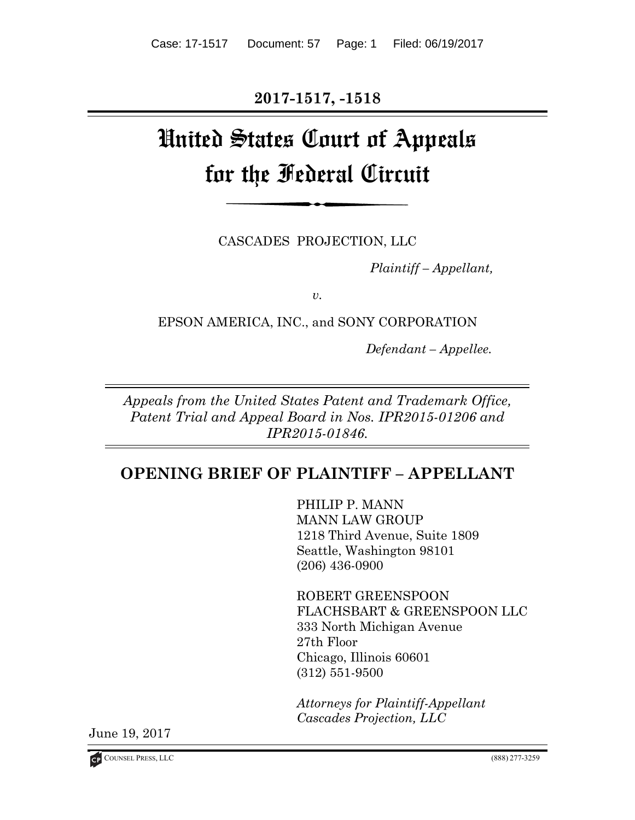**2017-1517, -1518** 

# United States Court of Appeals for the Federal Circuit

CASCADES PROJECTION, LLC

*Plaintiff – Appellant,* 

*v.* 

EPSON AMERICA, INC., and SONY CORPORATION

*Defendant – Appellee.* 

*Appeals from the United States Patent and Trademark Office, Patent Trial and Appeal Board in Nos. IPR2015-01206 and IPR2015-01846.* 

# **OPENING BRIEF OF PLAINTIFF – APPELLANT**

PHILIP P. MANN MANN LAW GROUP 1218 Third Avenue, Suite 1809 Seattle, Washington 98101 (206) 436-0900

ROBERT GREENSPOON FLACHSBART & GREENSPOON LLC 333 North Michigan Avenue 27th Floor Chicago, Illinois 60601 (312) 551-9500

*Attorneys for Plaintiff-Appellant Cascades Projection, LLC*

June 19, 2017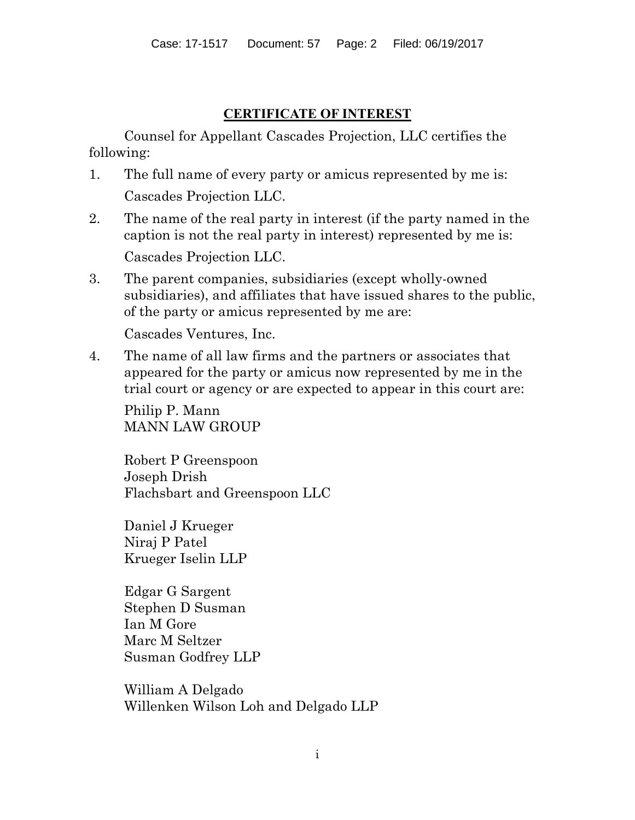# **CERTIFICATE OF INTEREST**

Counsel for Appellant Cascades Projection, LLC certifies the following:

- 1. The full name of every party or amicus represented by me is: Cascades Projection LLC.
- 2. The name of the real party in interest (if the party named in the caption is not the real party in interest) represented by me is:

Cascades Projection LLC.

3. The parent companies, subsidiaries (except wholly-owned subsidiaries), and affiliates that have issued shares to the public, of the party or amicus represented by me are:

Cascades Ventures, Inc.

4. The name of all law firms and the partners or associates that appeared for the party or amicus now represented by me in the trial court or agency or are expected to appear in this court are:

Philip P. Mann MANN LAW GROUP

Robert P Greenspoon Joseph Drish Flachsbart and Greenspoon LLC

Daniel J Krueger Niraj P Patel Krueger Iselin LLP

Edgar G Sargent Stephen D Susman Ian M Gore Marc M Seltzer Susman Godfrey LLP

William A Delgado Willenken Wilson Loh and Delgado LLP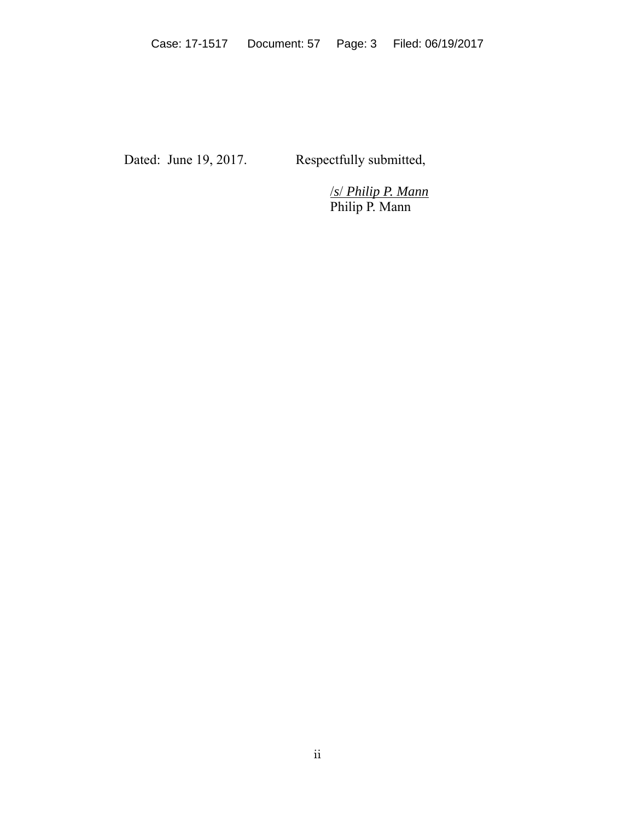Dated: June 19, 2017. Respectfully submitted,

 /*s*/ *Philip P. Mann* Philip P. Mann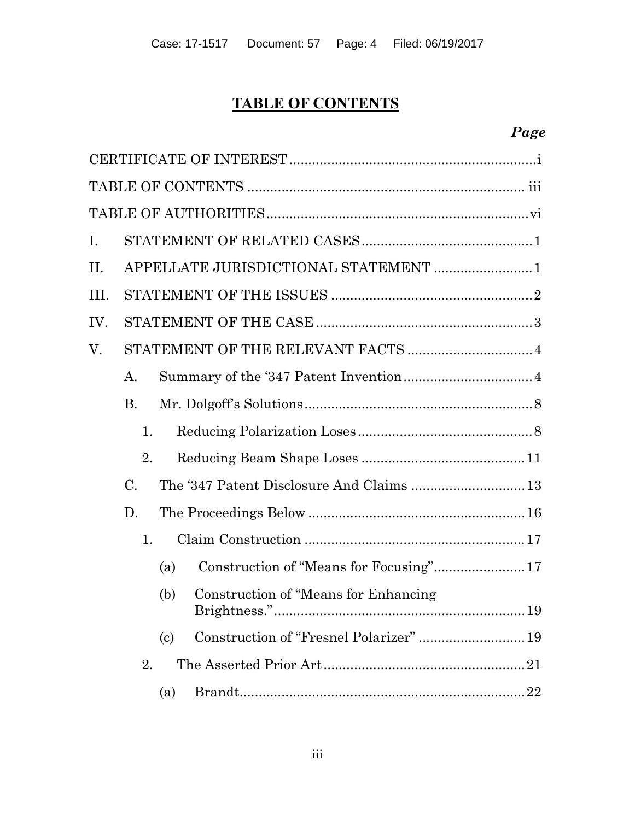# **TABLE OF CONTENTS**

# *Page*

| I.   |                                       |                            |                                         |  |  |
|------|---------------------------------------|----------------------------|-----------------------------------------|--|--|
| П.   | APPELLATE JURISDICTIONAL STATEMENT  1 |                            |                                         |  |  |
| III. |                                       |                            |                                         |  |  |
| IV.  |                                       |                            |                                         |  |  |
| V.   |                                       |                            |                                         |  |  |
|      | А.                                    |                            |                                         |  |  |
|      | <b>B.</b>                             |                            |                                         |  |  |
|      | 1.                                    |                            |                                         |  |  |
|      | 2.                                    |                            |                                         |  |  |
|      | $\mathcal{C}$ .                       |                            |                                         |  |  |
|      | D.                                    |                            |                                         |  |  |
|      | 1.                                    |                            |                                         |  |  |
|      |                                       | (a)                        | Construction of "Means for Focusing" 17 |  |  |
|      |                                       | (b)                        | Construction of "Means for Enhancing"   |  |  |
|      |                                       | $\left( \mathrm{c}\right)$ |                                         |  |  |
|      | 2.                                    |                            |                                         |  |  |
|      |                                       | (a)                        | 22                                      |  |  |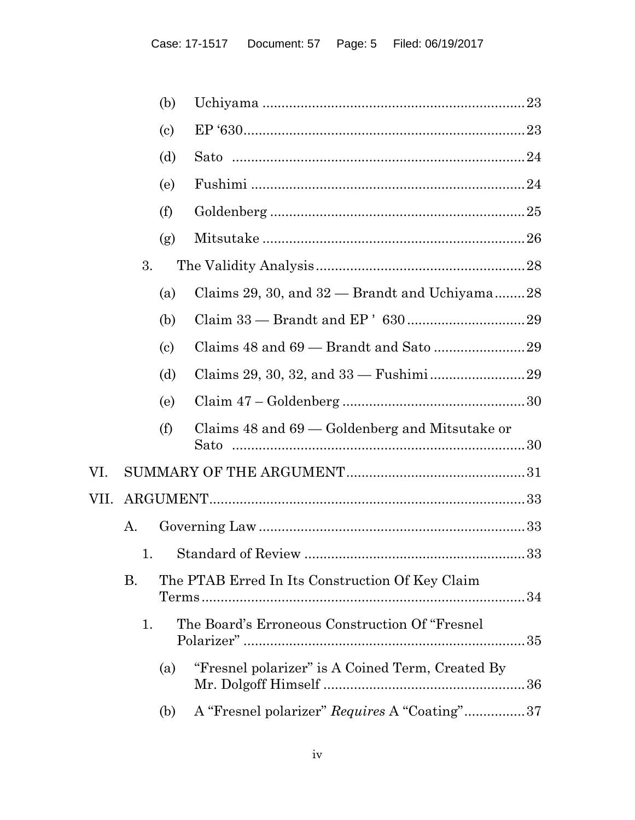|      |    | (b)                        |                                                    |  |
|------|----|----------------------------|----------------------------------------------------|--|
|      |    | $\left( \mathrm{c}\right)$ |                                                    |  |
|      |    | (d)                        |                                                    |  |
|      |    | (e)                        |                                                    |  |
|      |    | (f)                        |                                                    |  |
|      |    | (g)                        |                                                    |  |
|      | 3. |                            |                                                    |  |
|      |    | (a)                        | Claims 29, 30, and $32$ — Brandt and Uchiyama28    |  |
|      |    | (b)                        |                                                    |  |
|      |    | $\left( \mathrm{c}\right)$ |                                                    |  |
|      |    | (d)                        |                                                    |  |
|      |    | (e)                        |                                                    |  |
|      |    | (f)                        | Claims $48$ and $69$ — Goldenberg and Mitsutake or |  |
| VI.  |    |                            |                                                    |  |
| VII. |    |                            |                                                    |  |
|      | А. |                            |                                                    |  |
|      |    |                            |                                                    |  |
|      | Β. |                            | The PTAB Erred In Its Construction Of Key Claim    |  |
|      | 1. |                            | The Board's Erroneous Construction Of "Fresnel"    |  |
|      |    | (a)                        | "Fresnel polarizer" is A Coined Term, Created By   |  |
|      |    | (b)                        | A "Fresnel polarizer" Requires A "Coating"37       |  |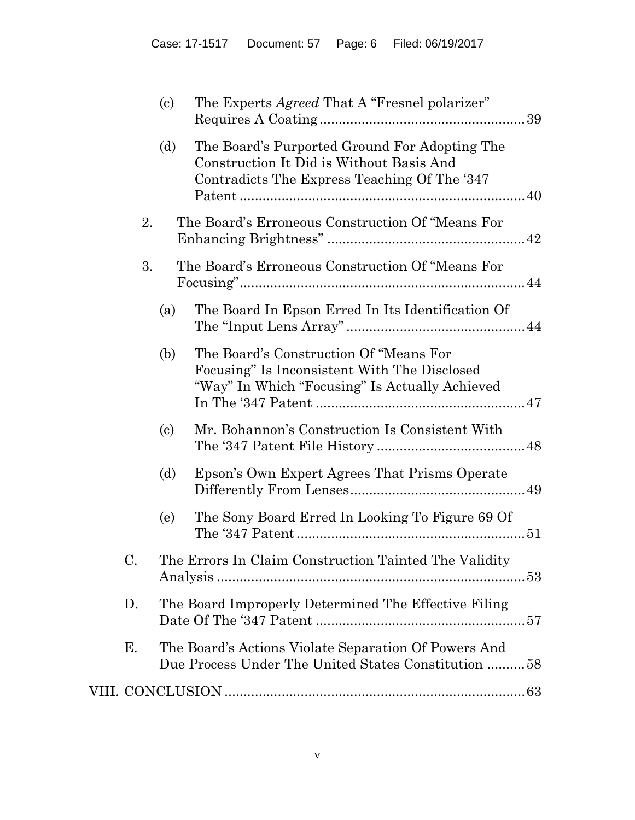|    | $\left( \mathrm{e}\right)$  | The Experts <i>Agreed</i> That A "Fresnel polarizer"                                                                                      |
|----|-----------------------------|-------------------------------------------------------------------------------------------------------------------------------------------|
|    | (d)                         | The Board's Purported Ground For Adopting The<br>Construction It Did is Without Basis And<br>Contradicts The Express Teaching Of The '347 |
| 2. |                             | The Board's Erroneous Construction Of "Means For                                                                                          |
| 3. |                             | The Board's Erroneous Construction Of "Means For                                                                                          |
|    | (a)                         | The Board In Epson Erred In Its Identification Of                                                                                         |
|    | (b)                         | The Board's Construction Of "Means For<br>Focusing" Is Inconsistent With The Disclosed<br>"Way" In Which "Focusing" Is Actually Achieved  |
|    | $\left( \mathrm{c} \right)$ | Mr. Bohannon's Construction Is Consistent With                                                                                            |
|    | (d)                         | Epson's Own Expert Agrees That Prisms Operate                                                                                             |
|    | (e)                         | The Sony Board Erred In Looking To Figure 69 Of                                                                                           |
| C. |                             | The Errors In Claim Construction Tainted The Validity                                                                                     |
| D. |                             | The Board Improperly Determined The Effective Filing                                                                                      |
| Ε. |                             | The Board's Actions Violate Separation Of Powers And<br>Due Process Under The United States Constitution 58                               |
|    |                             |                                                                                                                                           |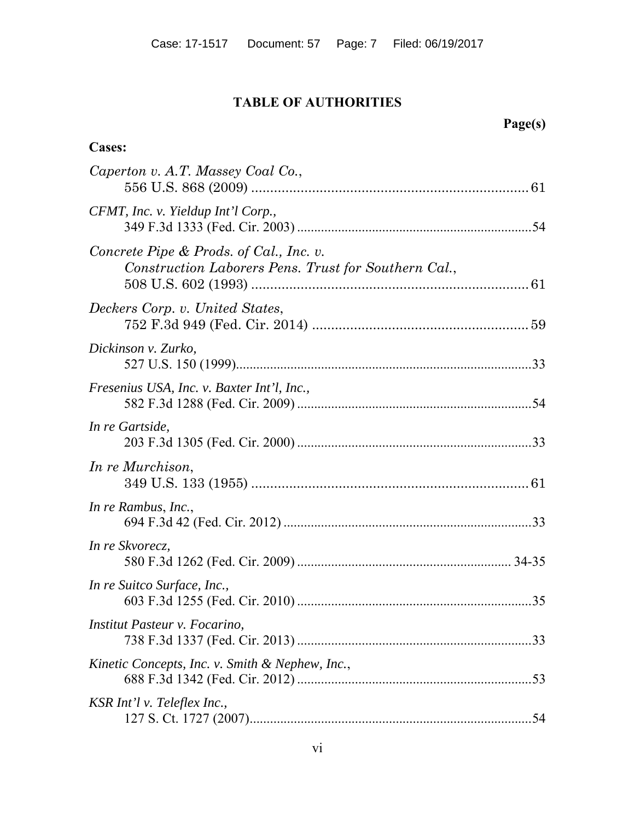# **TABLE OF AUTHORITIES**

**Cases:**

# **Page(s)**

| Caperton v. A.T. Massey Coal Co.,                                                               |  |
|-------------------------------------------------------------------------------------------------|--|
| CFMT, Inc. v. Yieldup Int'l Corp.,                                                              |  |
| Concrete Pipe & Prods. of Cal., Inc. v.<br>Construction Laborers Pens. Trust for Southern Cal., |  |
| Deckers Corp. v. United States,                                                                 |  |
| Dickinson v. Zurko,                                                                             |  |
| Fresenius USA, Inc. v. Baxter Int'l, Inc.,                                                      |  |
| In re Gartside,                                                                                 |  |
| In re Murchison,                                                                                |  |
| In re Rambus, Inc.,                                                                             |  |
| In re Skvorecz,                                                                                 |  |
| In re Suitco Surface, Inc.,                                                                     |  |
| Institut Pasteur v. Focarino,                                                                   |  |
| Kinetic Concepts, Inc. v. Smith & Nephew, Inc.,                                                 |  |
| KSR Int'l v. Teleflex Inc.,                                                                     |  |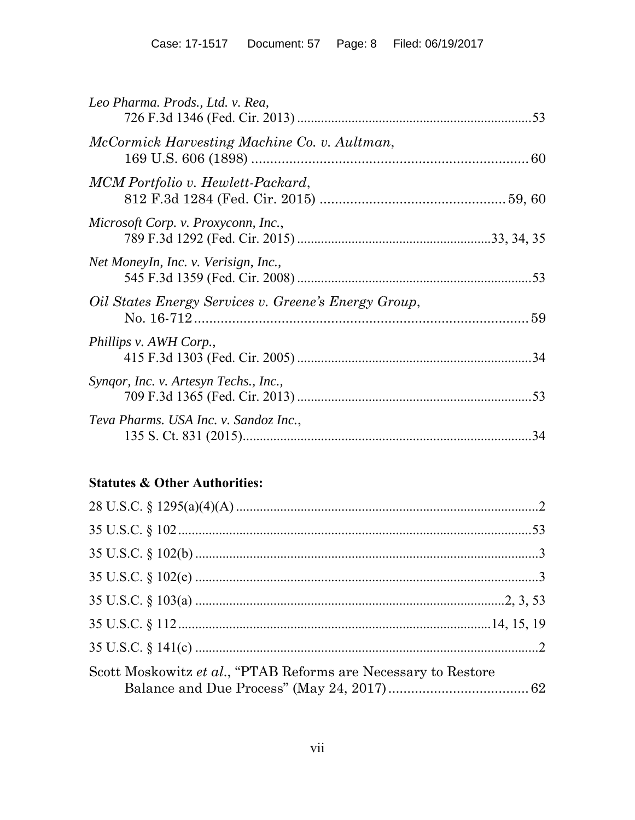| Leo Pharma. Prods., Ltd. v. Rea,                     |     |
|------------------------------------------------------|-----|
| McCormick Harvesting Machine Co. v. Aultman,         |     |
| MCM Portfolio v. Hewlett-Packard,                    |     |
| Microsoft Corp. v. Proxyconn, Inc.,                  |     |
| Net Moneyln, Inc. v. Verisign, Inc.,                 |     |
| Oil States Energy Services v. Greene's Energy Group, |     |
| Phillips v. AWH Corp.,                               |     |
| Syngor, Inc. v. Artesyn Techs., Inc.,                |     |
| Teva Pharms. USA Inc. v. Sandoz Inc.,                | .34 |

# **Statutes & Other Authorities:**

| Scott Moskowitz et al., "PTAB Reforms are Necessary to Restore |  |
|----------------------------------------------------------------|--|
|                                                                |  |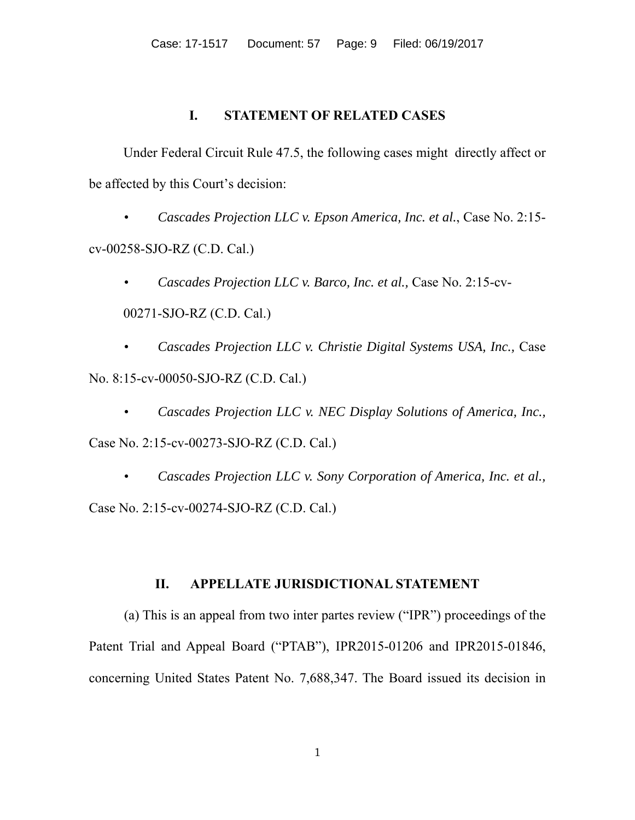# **I. STATEMENT OF RELATED CASES**

Under Federal Circuit Rule 47.5, the following cases might directly affect or be affected by this Court's decision:

• *Cascades Projection LLC v. Epson America, Inc. et al.*, Case No. 2:15 cv-00258-SJO-RZ (C.D. Cal.)

• *Cascades Projection LLC v. Barco, Inc. et al.,* Case No. 2:15-cv-00271-SJO-RZ (C.D. Cal.)

• *Cascades Projection LLC v. Christie Digital Systems USA, Inc.,* Case No. 8:15-cv-00050-SJO-RZ (C.D. Cal.)

• *Cascades Projection LLC v. NEC Display Solutions of America, Inc.,*

Case No. 2:15-cv-00273-SJO-RZ (C.D. Cal.)

• *Cascades Projection LLC v. Sony Corporation of America, Inc. et al.,* Case No. 2:15-cv-00274-SJO-RZ (C.D. Cal.)

# **II. APPELLATE JURISDICTIONAL STATEMENT**

(a) This is an appeal from two inter partes review ("IPR") proceedings of the Patent Trial and Appeal Board ("PTAB"), IPR2015-01206 and IPR2015-01846, concerning United States Patent No. 7,688,347. The Board issued its decision in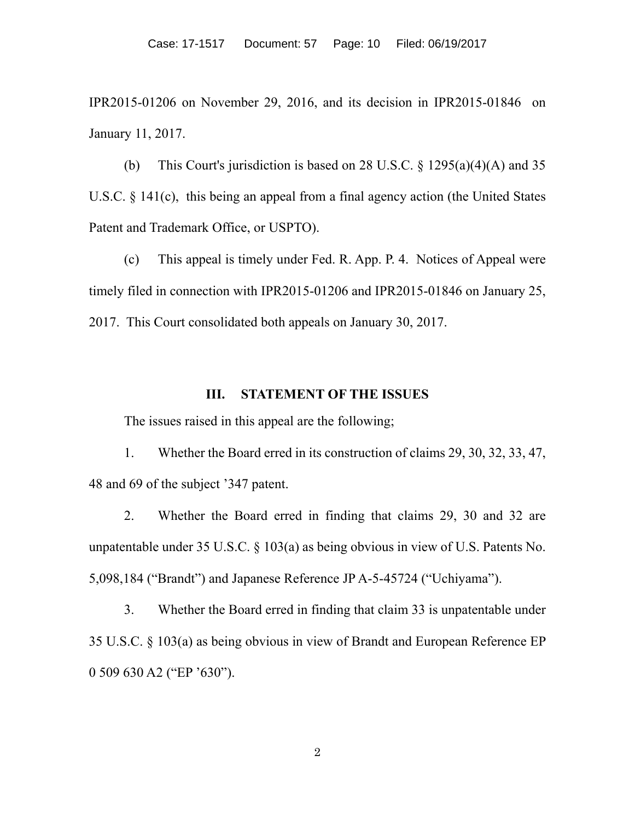IPR2015-01206 on November 29, 2016, and its decision in IPR2015-01846 on January 11, 2017.

(b) This Court's jurisdiction is based on 28 U.S.C.  $\frac{1295(a)(4)(A)}{25}$  and 35 U.S.C. § 141(c), this being an appeal from a final agency action (the United States Patent and Trademark Office, or USPTO).

(c) This appeal is timely under Fed. R. App. P. 4. Notices of Appeal were timely filed in connection with IPR2015-01206 and IPR2015-01846 on January 25, 2017. This Court consolidated both appeals on January 30, 2017.

#### **III. STATEMENT OF THE ISSUES**

The issues raised in this appeal are the following;

1. Whether the Board erred in its construction of claims 29, 30, 32, 33, 47, 48 and 69 of the subject '347 patent.

2. Whether the Board erred in finding that claims 29, 30 and 32 are unpatentable under 35 U.S.C. § 103(a) as being obvious in view of U.S. Patents No. 5,098,184 ("Brandt") and Japanese Reference JP A-5-45724 ("Uchiyama").

3. Whether the Board erred in finding that claim 33 is unpatentable under 35 U.S.C. § 103(a) as being obvious in view of Brandt and European Reference EP 0 509 630 A2 ("EP '630").

2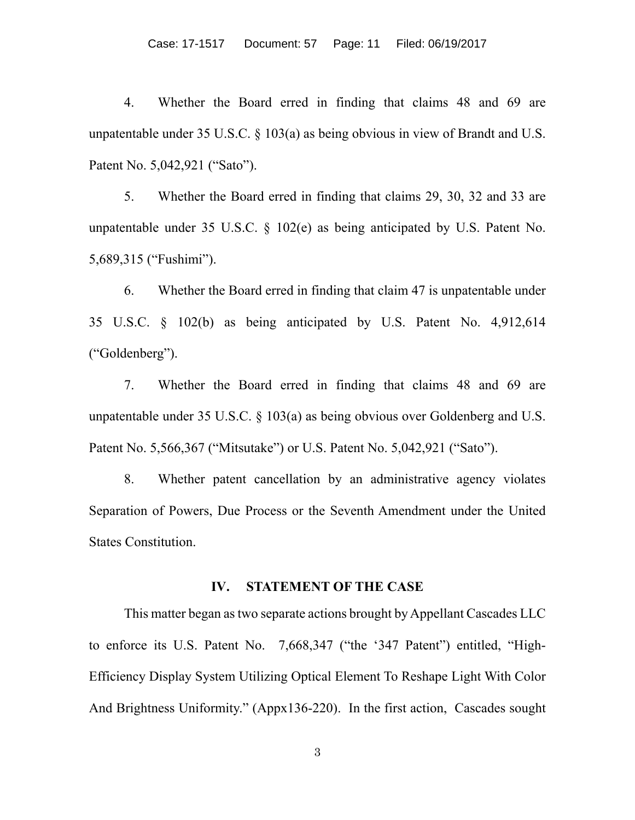4. Whether the Board erred in finding that claims 48 and 69 are unpatentable under 35 U.S.C.  $\S$  103(a) as being obvious in view of Brandt and U.S. Patent No. 5,042,921 ("Sato").

5. Whether the Board erred in finding that claims 29, 30, 32 and 33 are unpatentable under 35 U.S.C. § 102(e) as being anticipated by U.S. Patent No. 5,689,315 ("Fushimi").

6. Whether the Board erred in finding that claim 47 is unpatentable under 35 U.S.C. § 102(b) as being anticipated by U.S. Patent No. 4,912,614 ("Goldenberg").

7. Whether the Board erred in finding that claims 48 and 69 are unpatentable under 35 U.S.C.  $\S$  103(a) as being obvious over Goldenberg and U.S. Patent No. 5,566,367 ("Mitsutake") or U.S. Patent No. 5,042,921 ("Sato").

8. Whether patent cancellation by an administrative agency violates Separation of Powers, Due Process or the Seventh Amendment under the United States Constitution.

#### **IV. STATEMENT OF THE CASE**

This matter began as two separate actions brought by Appellant Cascades LLC to enforce its U.S. Patent No. 7,668,347 ("the '347 Patent") entitled, "High-Efficiency Display System Utilizing Optical Element To Reshape Light With Color And Brightness Uniformity." (Appx136-220). In the first action, Cascades sought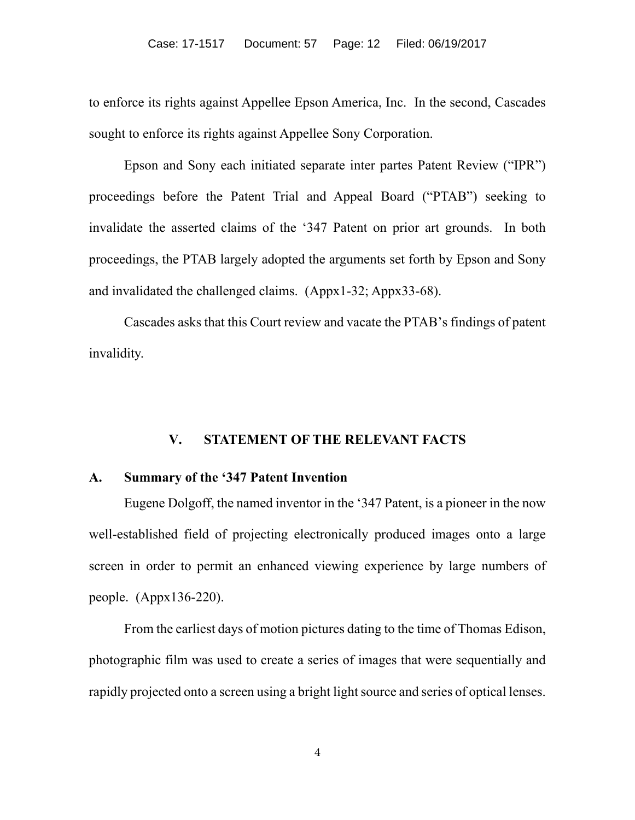to enforce its rights against Appellee Epson America, Inc. In the second, Cascades sought to enforce its rights against Appellee Sony Corporation.

Epson and Sony each initiated separate inter partes Patent Review ("IPR") proceedings before the Patent Trial and Appeal Board ("PTAB") seeking to invalidate the asserted claims of the '347 Patent on prior art grounds. In both proceedings, the PTAB largely adopted the arguments set forth by Epson and Sony and invalidated the challenged claims. (Appx1-32; Appx33-68).

Cascades asks that this Court review and vacate the PTAB's findings of patent invalidity.

#### **V. STATEMENT OF THE RELEVANT FACTS**

# **A. Summary of the '347 Patent Invention**

Eugene Dolgoff, the named inventor in the '347 Patent, is a pioneer in the now well-established field of projecting electronically produced images onto a large screen in order to permit an enhanced viewing experience by large numbers of people. (Appx136-220).

From the earliest days of motion pictures dating to the time of Thomas Edison, photographic film was used to create a series of images that were sequentially and rapidly projected onto a screen using a bright light source and series of optical lenses.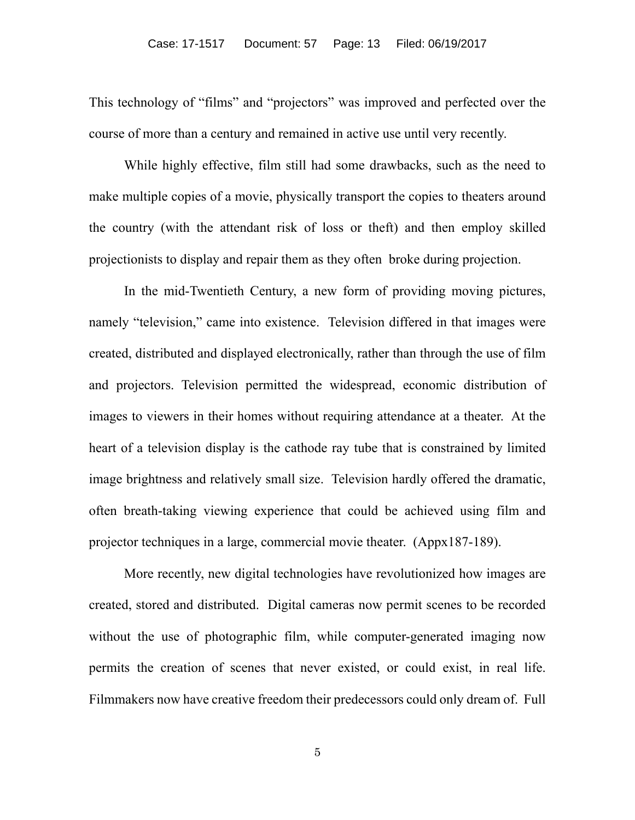This technology of "films" and "projectors" was improved and perfected over the course of more than a century and remained in active use until very recently.

While highly effective, film still had some drawbacks, such as the need to make multiple copies of a movie, physically transport the copies to theaters around the country (with the attendant risk of loss or theft) and then employ skilled projectionists to display and repair them as they often broke during projection.

In the mid-Twentieth Century, a new form of providing moving pictures, namely "television," came into existence. Television differed in that images were created, distributed and displayed electronically, rather than through the use of film and projectors. Television permitted the widespread, economic distribution of images to viewers in their homes without requiring attendance at a theater. At the heart of a television display is the cathode ray tube that is constrained by limited image brightness and relatively small size. Television hardly offered the dramatic, often breath-taking viewing experience that could be achieved using film and projector techniques in a large, commercial movie theater. (Appx187-189).

More recently, new digital technologies have revolutionized how images are created, stored and distributed. Digital cameras now permit scenes to be recorded without the use of photographic film, while computer-generated imaging now permits the creation of scenes that never existed, or could exist, in real life. Filmmakers now have creative freedom their predecessors could only dream of. Full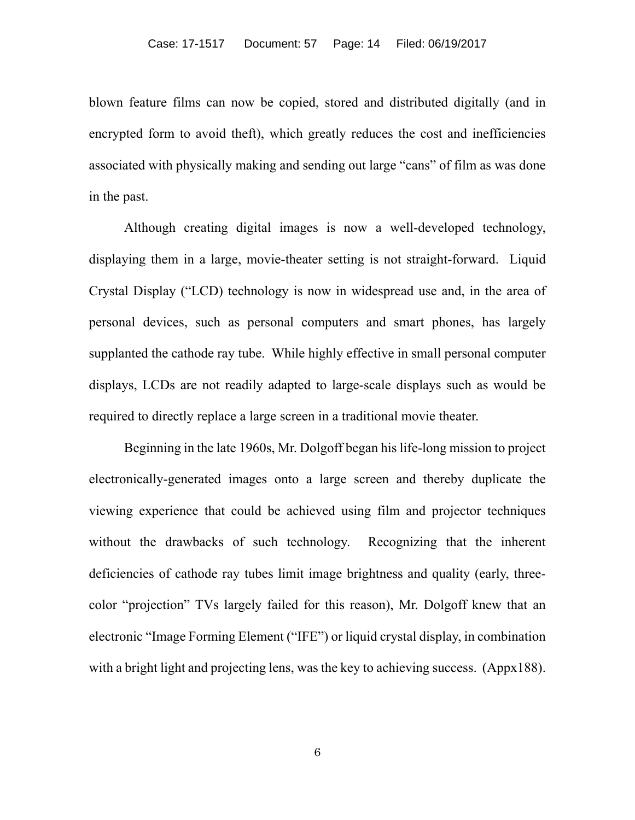blown feature films can now be copied, stored and distributed digitally (and in encrypted form to avoid theft), which greatly reduces the cost and inefficiencies associated with physically making and sending out large "cans" of film as was done in the past.

Although creating digital images is now a well-developed technology, displaying them in a large, movie-theater setting is not straight-forward. Liquid Crystal Display ("LCD) technology is now in widespread use and, in the area of personal devices, such as personal computers and smart phones, has largely supplanted the cathode ray tube. While highly effective in small personal computer displays, LCDs are not readily adapted to large-scale displays such as would be required to directly replace a large screen in a traditional movie theater.

Beginning in the late 1960s, Mr. Dolgoff began his life-long mission to project electronically-generated images onto a large screen and thereby duplicate the viewing experience that could be achieved using film and projector techniques without the drawbacks of such technology. Recognizing that the inherent deficiencies of cathode ray tubes limit image brightness and quality (early, threecolor "projection" TVs largely failed for this reason), Mr. Dolgoff knew that an electronic "Image Forming Element ("IFE") or liquid crystal display, in combination with a bright light and projecting lens, was the key to achieving success. (Appx188).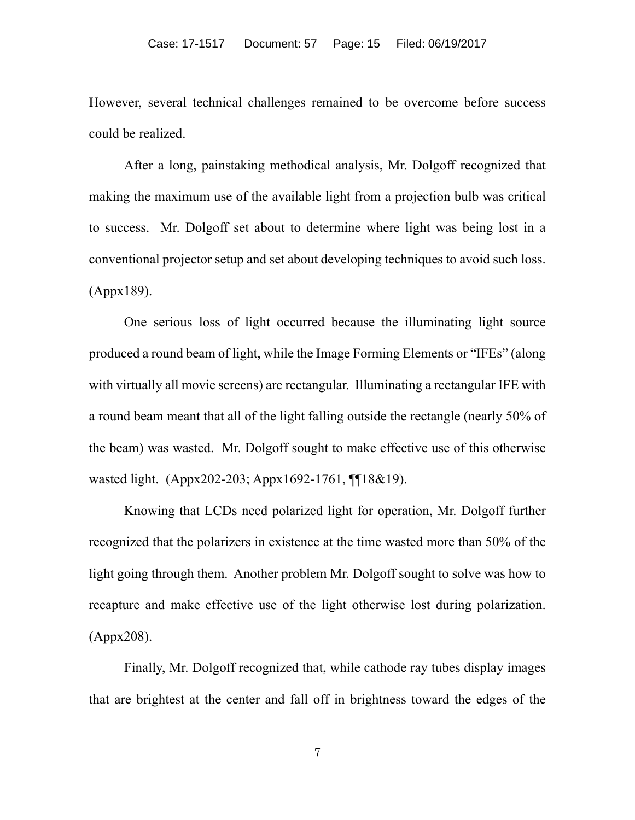However, several technical challenges remained to be overcome before success could be realized.

After a long, painstaking methodical analysis, Mr. Dolgoff recognized that making the maximum use of the available light from a projection bulb was critical to success. Mr. Dolgoff set about to determine where light was being lost in a conventional projector setup and set about developing techniques to avoid such loss. (Appx189).

One serious loss of light occurred because the illuminating light source produced a round beam of light, while the Image Forming Elements or "IFEs" (along with virtually all movie screens) are rectangular. Illuminating a rectangular IFE with a round beam meant that all of the light falling outside the rectangle (nearly 50% of the beam) was wasted. Mr. Dolgoff sought to make effective use of this otherwise wasted light. (Appx202-203; Appx1692-1761, ¶¶18&19).

Knowing that LCDs need polarized light for operation, Mr. Dolgoff further recognized that the polarizers in existence at the time wasted more than 50% of the light going through them. Another problem Mr. Dolgoff sought to solve was how to recapture and make effective use of the light otherwise lost during polarization. (Appx208).

Finally, Mr. Dolgoff recognized that, while cathode ray tubes display images that are brightest at the center and fall off in brightness toward the edges of the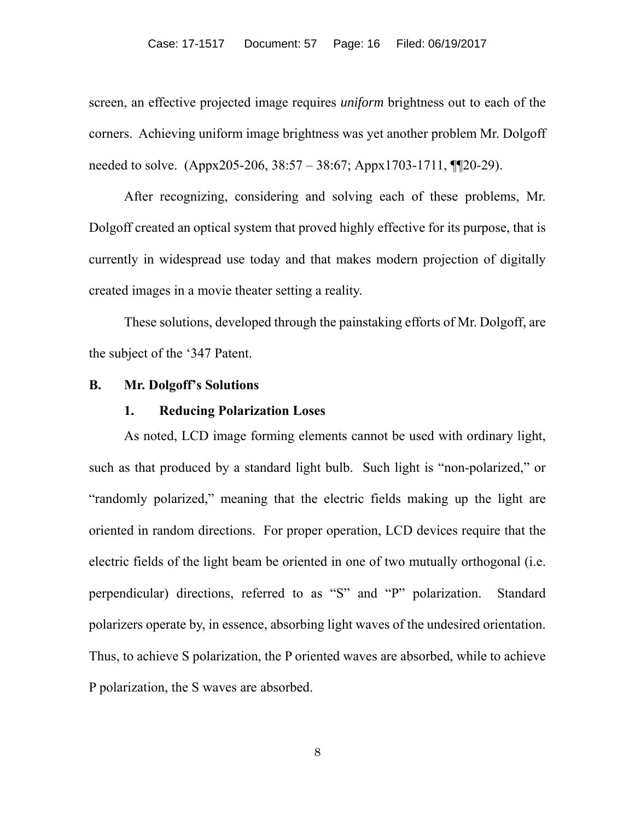screen, an effective projected image requires *uniform* brightness out to each of the corners. Achieving uniform image brightness was yet another problem Mr. Dolgoff needed to solve. (Appx205-206, 38:57 – 38:67; Appx1703-1711, ¶¶20-29).

After recognizing, considering and solving each of these problems, Mr. Dolgoff created an optical system that proved highly effective for its purpose, that is currently in widespread use today and that makes modern projection of digitally created images in a movie theater setting a reality.

These solutions, developed through the painstaking efforts of Mr. Dolgoff, are the subject of the '347 Patent.

#### **B. Mr. Dolgoff's Solutions**

#### **1. Reducing Polarization Loses**

As noted, LCD image forming elements cannot be used with ordinary light, such as that produced by a standard light bulb. Such light is "non-polarized," or "randomly polarized," meaning that the electric fields making up the light are oriented in random directions. For proper operation, LCD devices require that the electric fields of the light beam be oriented in one of two mutually orthogonal (i.e. perpendicular) directions, referred to as "S" and "P" polarization. Standard polarizers operate by, in essence, absorbing light waves of the undesired orientation. Thus, to achieve S polarization, the P oriented waves are absorbed, while to achieve P polarization, the S waves are absorbed.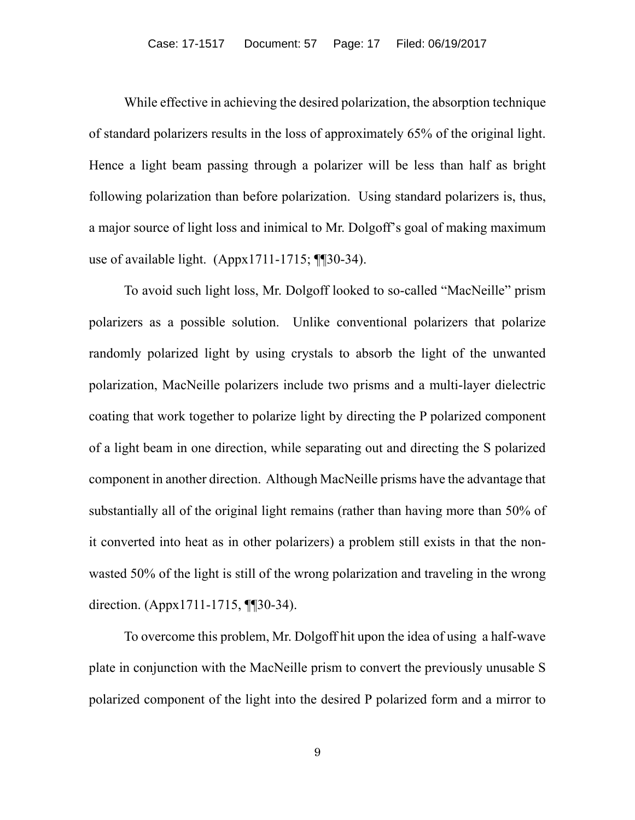While effective in achieving the desired polarization, the absorption technique of standard polarizers results in the loss of approximately 65% of the original light. Hence a light beam passing through a polarizer will be less than half as bright following polarization than before polarization. Using standard polarizers is, thus, a major source of light loss and inimical to Mr. Dolgoff's goal of making maximum use of available light. (Appx1711-1715; ¶¶30-34).

To avoid such light loss, Mr. Dolgoff looked to so-called "MacNeille" prism polarizers as a possible solution. Unlike conventional polarizers that polarize randomly polarized light by using crystals to absorb the light of the unwanted polarization, MacNeille polarizers include two prisms and a multi-layer dielectric coating that work together to polarize light by directing the P polarized component of a light beam in one direction, while separating out and directing the S polarized component in another direction. Although MacNeille prisms have the advantage that substantially all of the original light remains (rather than having more than 50% of it converted into heat as in other polarizers) a problem still exists in that the nonwasted 50% of the light is still of the wrong polarization and traveling in the wrong direction. (Appx1711-1715, ¶¶30-34).

To overcome this problem, Mr. Dolgoff hit upon the idea of using a half-wave plate in conjunction with the MacNeille prism to convert the previously unusable S polarized component of the light into the desired P polarized form and a mirror to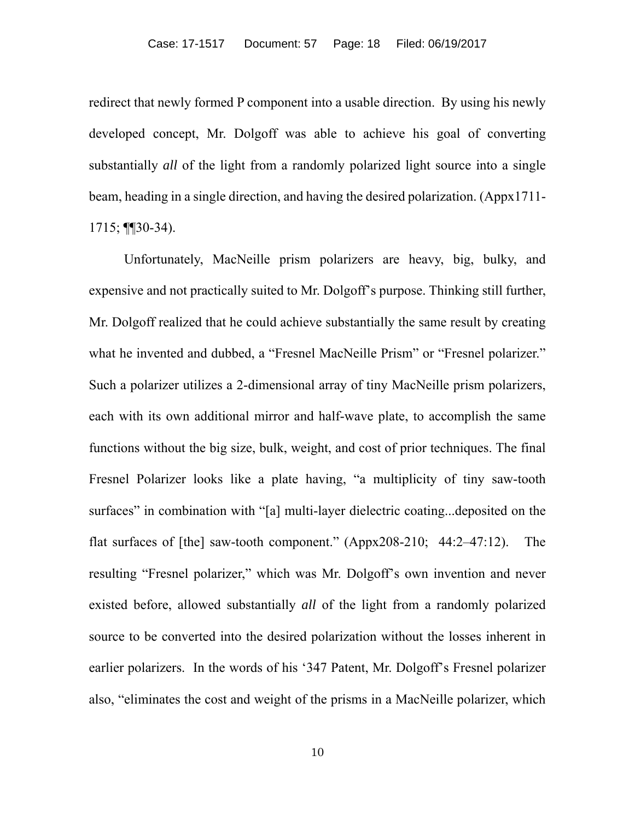redirect that newly formed P component into a usable direction. By using his newly developed concept, Mr. Dolgoff was able to achieve his goal of converting substantially *all* of the light from a randomly polarized light source into a single beam, heading in a single direction, and having the desired polarization. (Appx1711- 1715; ¶¶30-34).

Unfortunately, MacNeille prism polarizers are heavy, big, bulky, and expensive and not practically suited to Mr. Dolgoff's purpose. Thinking still further, Mr. Dolgoff realized that he could achieve substantially the same result by creating what he invented and dubbed, a "Fresnel MacNeille Prism" or "Fresnel polarizer." Such a polarizer utilizes a 2-dimensional array of tiny MacNeille prism polarizers, each with its own additional mirror and half-wave plate, to accomplish the same functions without the big size, bulk, weight, and cost of prior techniques. The final Fresnel Polarizer looks like a plate having, "a multiplicity of tiny saw-tooth surfaces" in combination with "[a] multi-layer dielectric coating...deposited on the flat surfaces of [the] saw-tooth component." (Appx208-210; 44:2–47:12). The resulting "Fresnel polarizer," which was Mr. Dolgoff's own invention and never existed before, allowed substantially *all* of the light from a randomly polarized source to be converted into the desired polarization without the losses inherent in earlier polarizers. In the words of his '347 Patent, Mr. Dolgoff's Fresnel polarizer also, "eliminates the cost and weight of the prisms in a MacNeille polarizer, which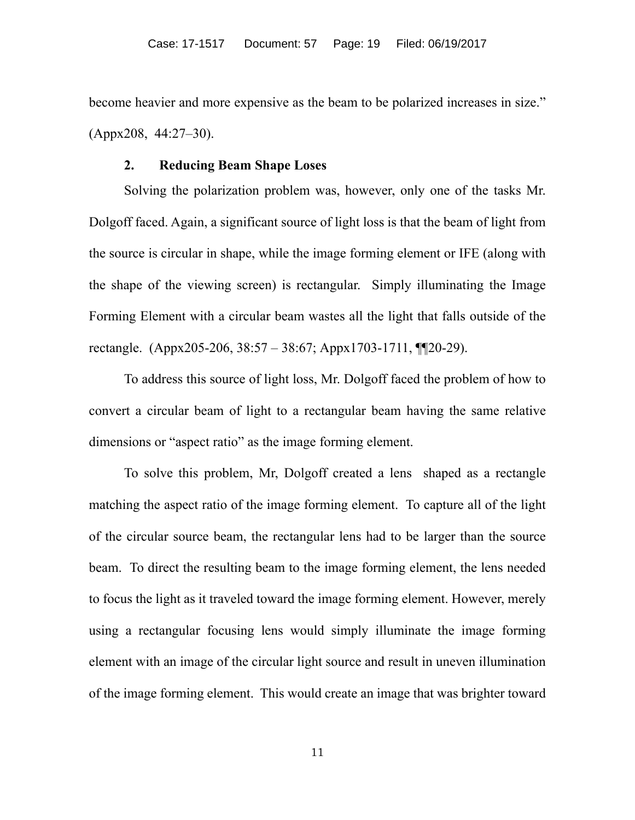become heavier and more expensive as the beam to be polarized increases in size." (Appx208, 44:27–30).

# **2. Reducing Beam Shape Loses**

Solving the polarization problem was, however, only one of the tasks Mr. Dolgoff faced. Again, a significant source of light loss is that the beam of light from the source is circular in shape, while the image forming element or IFE (along with the shape of the viewing screen) is rectangular. Simply illuminating the Image Forming Element with a circular beam wastes all the light that falls outside of the rectangle. (Appx205-206, 38:57 – 38:67; Appx1703-1711, ¶¶20-29).

To address this source of light loss, Mr. Dolgoff faced the problem of how to convert a circular beam of light to a rectangular beam having the same relative dimensions or "aspect ratio" as the image forming element.

To solve this problem, Mr, Dolgoff created a lens shaped as a rectangle matching the aspect ratio of the image forming element. To capture all of the light of the circular source beam, the rectangular lens had to be larger than the source beam. To direct the resulting beam to the image forming element, the lens needed to focus the light as it traveled toward the image forming element. However, merely using a rectangular focusing lens would simply illuminate the image forming element with an image of the circular light source and result in uneven illumination of the image forming element. This would create an image that was brighter toward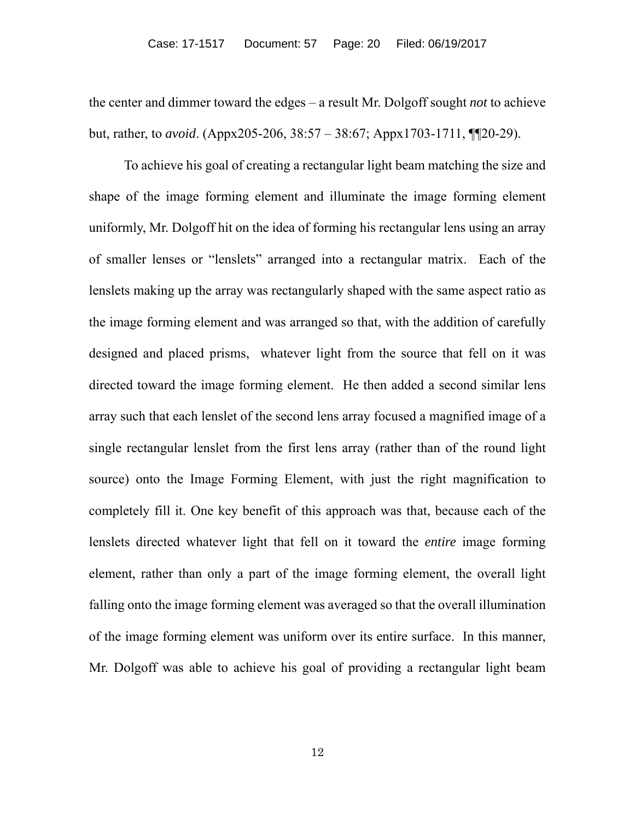the center and dimmer toward the edges – a result Mr. Dolgoff sought *not* to achieve but, rather, to *avoid*. (Appx205-206, 38:57 – 38:67; Appx1703-1711, ¶¶20-29).

To achieve his goal of creating a rectangular light beam matching the size and shape of the image forming element and illuminate the image forming element uniformly, Mr. Dolgoff hit on the idea of forming his rectangular lens using an array of smaller lenses or "lenslets" arranged into a rectangular matrix. Each of the lenslets making up the array was rectangularly shaped with the same aspect ratio as the image forming element and was arranged so that, with the addition of carefully designed and placed prisms, whatever light from the source that fell on it was directed toward the image forming element. He then added a second similar lens array such that each lenslet of the second lens array focused a magnified image of a single rectangular lenslet from the first lens array (rather than of the round light source) onto the Image Forming Element, with just the right magnification to completely fill it. One key benefit of this approach was that, because each of the lenslets directed whatever light that fell on it toward the *entire* image forming element, rather than only a part of the image forming element, the overall light falling onto the image forming element was averaged so that the overall illumination of the image forming element was uniform over its entire surface. In this manner, Mr. Dolgoff was able to achieve his goal of providing a rectangular light beam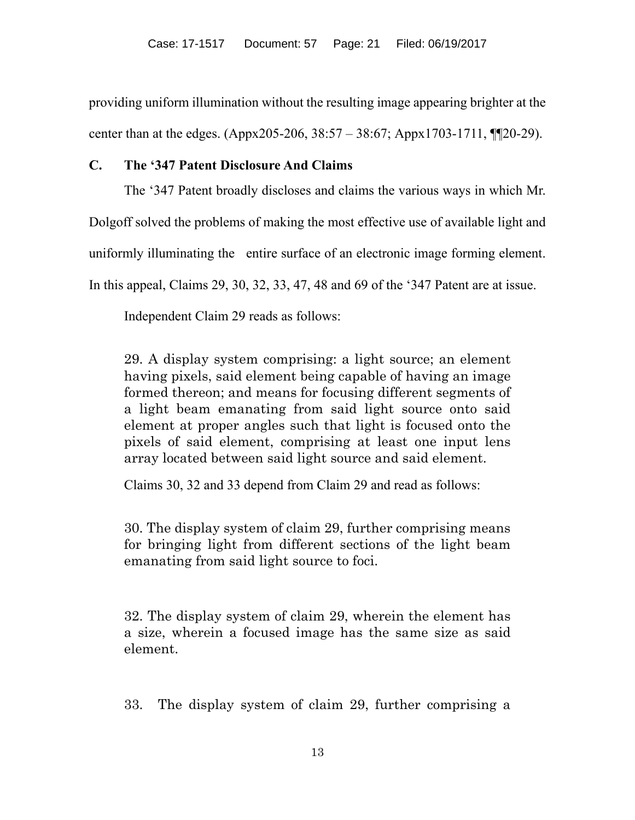providing uniform illumination without the resulting image appearing brighter at the center than at the edges. (Appx205-206, 38:57 – 38:67; Appx1703-1711, ¶¶20-29).

## **C. The '347 Patent Disclosure And Claims**

The '347 Patent broadly discloses and claims the various ways in which Mr.

Dolgoff solved the problems of making the most effective use of available light and

uniformly illuminating the entire surface of an electronic image forming element.

In this appeal, Claims 29, 30, 32, 33, 47, 48 and 69 of the '347 Patent are at issue.

Independent Claim 29 reads as follows:

29. A display system comprising: a light source; an element having pixels, said element being capable of having an image formed thereon; and means for focusing different segments of a light beam emanating from said light source onto said element at proper angles such that light is focused onto the pixels of said element, comprising at least one input lens array located between said light source and said element.

Claims 30, 32 and 33 depend from Claim 29 and read as follows:

30. The display system of claim 29, further comprising means for bringing light from different sections of the light beam emanating from said light source to foci.

32. The display system of claim 29, wherein the element has a size, wherein a focused image has the same size as said element.

33. The display system of claim 29, further comprising a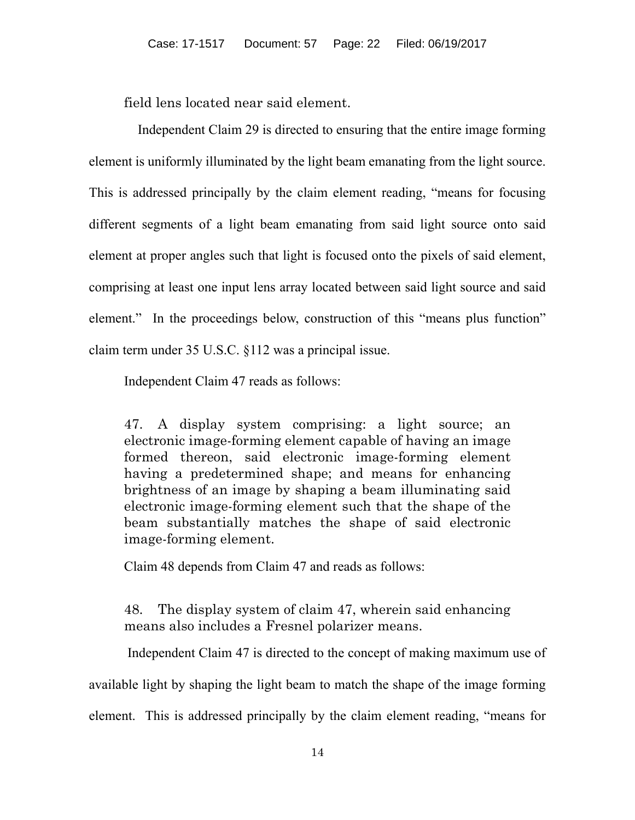field lens located near said element.

 Independent Claim 29 is directed to ensuring that the entire image forming element is uniformly illuminated by the light beam emanating from the light source. This is addressed principally by the claim element reading, "means for focusing different segments of a light beam emanating from said light source onto said element at proper angles such that light is focused onto the pixels of said element, comprising at least one input lens array located between said light source and said element." In the proceedings below, construction of this "means plus function" claim term under 35 U.S.C. §112 was a principal issue.

Independent Claim 47 reads as follows:

47. A display system comprising: a light source; an electronic image-forming element capable of having an image formed thereon, said electronic image-forming element having a predetermined shape; and means for enhancing brightness of an image by shaping a beam illuminating said electronic image-forming element such that the shape of the beam substantially matches the shape of said electronic image-forming element.

Claim 48 depends from Claim 47 and reads as follows:

48. The display system of claim 47, wherein said enhancing means also includes a Fresnel polarizer means.

 Independent Claim 47 is directed to the concept of making maximum use of available light by shaping the light beam to match the shape of the image forming element. This is addressed principally by the claim element reading, "means for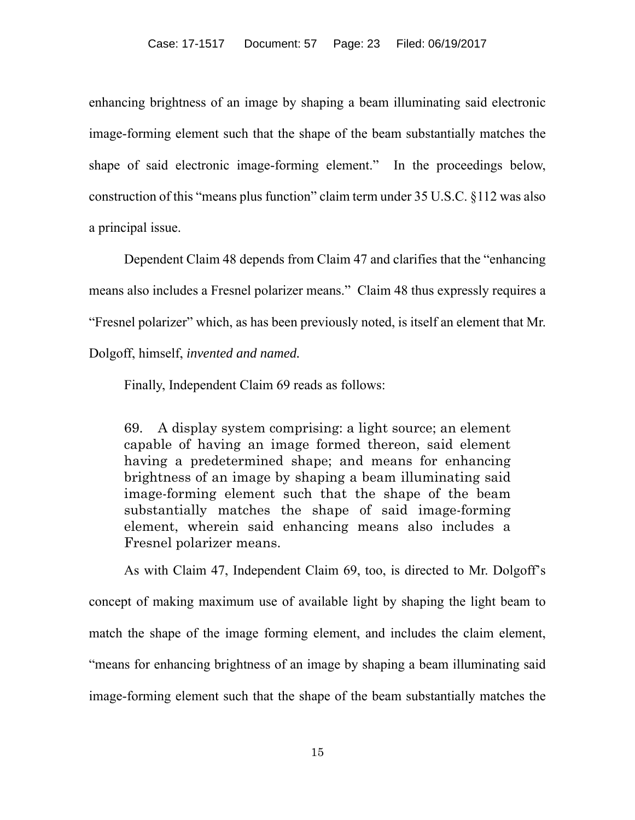enhancing brightness of an image by shaping a beam illuminating said electronic image-forming element such that the shape of the beam substantially matches the shape of said electronic image-forming element." In the proceedings below, construction of this "means plus function" claim term under 35 U.S.C. §112 was also a principal issue.

Dependent Claim 48 depends from Claim 47 and clarifies that the "enhancing means also includes a Fresnel polarizer means." Claim 48 thus expressly requires a "Fresnel polarizer" which, as has been previously noted, is itself an element that Mr. Dolgoff, himself, *invented and named.*

Finally, Independent Claim 69 reads as follows:

69. A display system comprising: a light source; an element capable of having an image formed thereon, said element having a predetermined shape; and means for enhancing brightness of an image by shaping a beam illuminating said image-forming element such that the shape of the beam substantially matches the shape of said image-forming element, wherein said enhancing means also includes a Fresnel polarizer means.

As with Claim 47, Independent Claim 69, too, is directed to Mr. Dolgoff's concept of making maximum use of available light by shaping the light beam to match the shape of the image forming element, and includes the claim element, "means for enhancing brightness of an image by shaping a beam illuminating said image-forming element such that the shape of the beam substantially matches the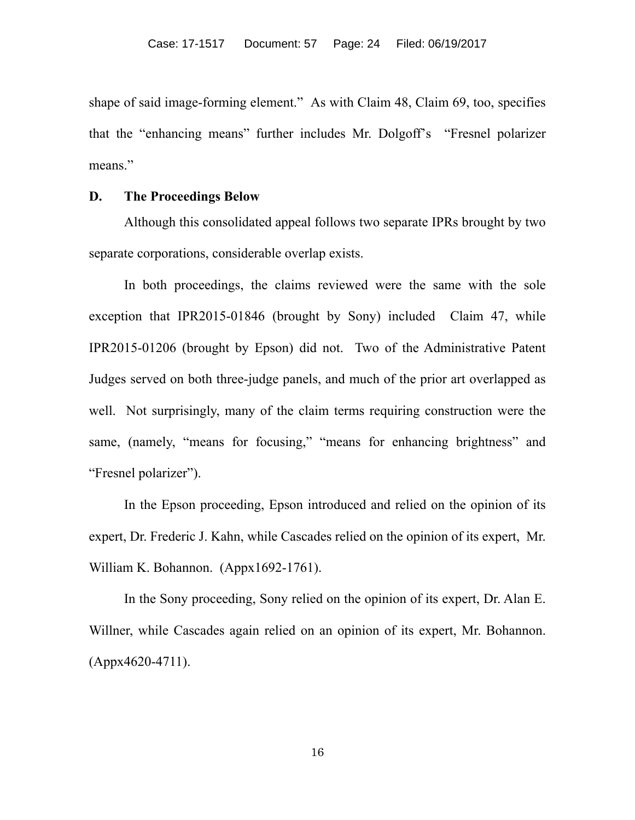shape of said image-forming element." As with Claim 48, Claim 69, too, specifies that the "enhancing means" further includes Mr. Dolgoff's "Fresnel polarizer means."

#### **D. The Proceedings Below**

Although this consolidated appeal follows two separate IPRs brought by two separate corporations, considerable overlap exists.

In both proceedings, the claims reviewed were the same with the sole exception that IPR2015-01846 (brought by Sony) included Claim 47, while IPR2015-01206 (brought by Epson) did not. Two of the Administrative Patent Judges served on both three-judge panels, and much of the prior art overlapped as well. Not surprisingly, many of the claim terms requiring construction were the same, (namely, "means for focusing," "means for enhancing brightness" and "Fresnel polarizer").

In the Epson proceeding, Epson introduced and relied on the opinion of its expert, Dr. Frederic J. Kahn, while Cascades relied on the opinion of its expert, Mr. William K. Bohannon. (Appx1692-1761).

In the Sony proceeding, Sony relied on the opinion of its expert, Dr. Alan E. Willner, while Cascades again relied on an opinion of its expert, Mr. Bohannon. (Appx4620-4711).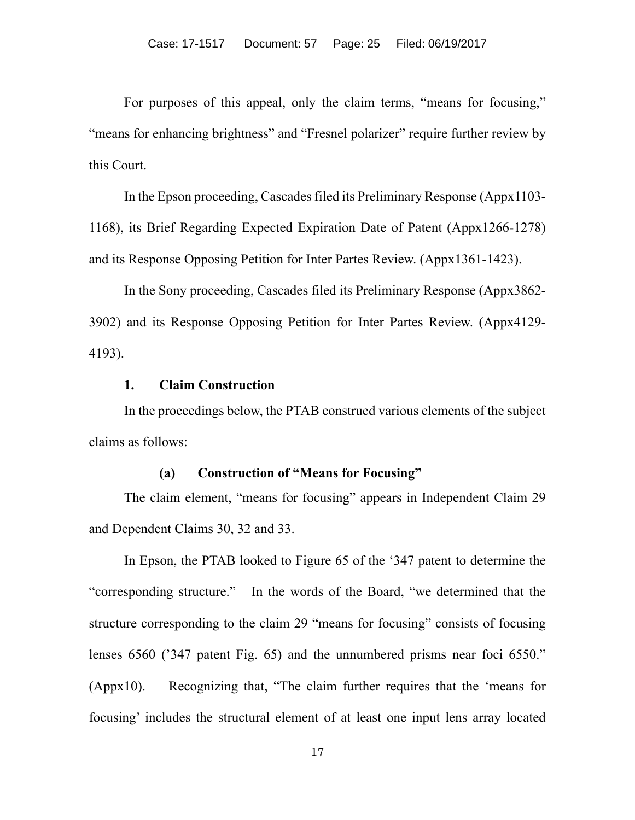For purposes of this appeal, only the claim terms, "means for focusing," "means for enhancing brightness" and "Fresnel polarizer" require further review by this Court.

In the Epson proceeding, Cascades filed its Preliminary Response (Appx1103- 1168), its Brief Regarding Expected Expiration Date of Patent (Appx1266-1278) and its Response Opposing Petition for Inter Partes Review. (Appx1361-1423).

In the Sony proceeding, Cascades filed its Preliminary Response (Appx3862- 3902) and its Response Opposing Petition for Inter Partes Review. (Appx4129- 4193).

# **1. Claim Construction**

In the proceedings below, the PTAB construed various elements of the subject claims as follows:

#### **(a) Construction of "Means for Focusing"**

The claim element, "means for focusing" appears in Independent Claim 29 and Dependent Claims 30, 32 and 33.

In Epson, the PTAB looked to Figure 65 of the '347 patent to determine the "corresponding structure." In the words of the Board, "we determined that the structure corresponding to the claim 29 "means for focusing" consists of focusing lenses 6560 ('347 patent Fig. 65) and the unnumbered prisms near foci 6550." (Appx10). Recognizing that, "The claim further requires that the 'means for focusing' includes the structural element of at least one input lens array located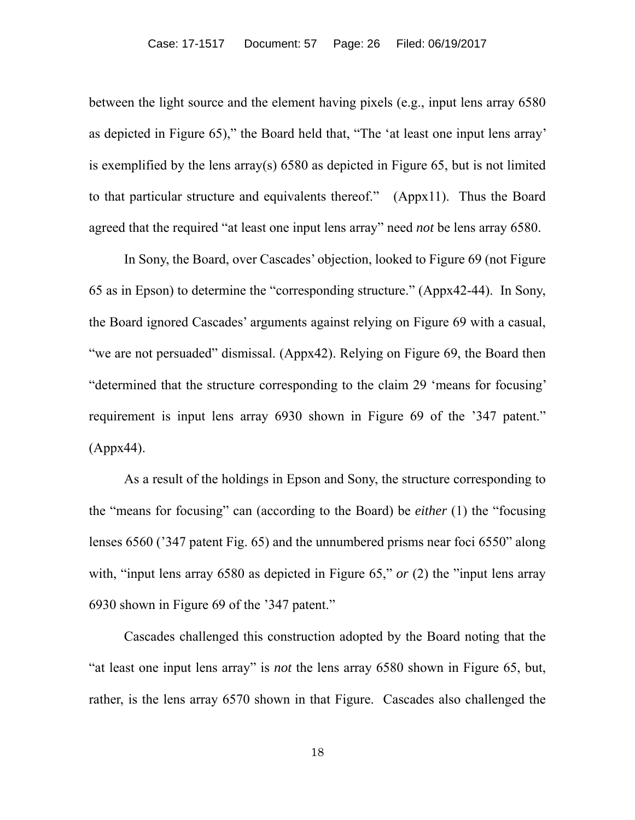between the light source and the element having pixels (e.g., input lens array 6580 as depicted in Figure 65)," the Board held that, "The 'at least one input lens array' is exemplified by the lens array(s) 6580 as depicted in Figure 65, but is not limited to that particular structure and equivalents thereof." (Appx11). Thus the Board agreed that the required "at least one input lens array" need *not* be lens array 6580.

In Sony, the Board, over Cascades' objection, looked to Figure 69 (not Figure 65 as in Epson) to determine the "corresponding structure." (Appx42-44). In Sony, the Board ignored Cascades' arguments against relying on Figure 69 with a casual, "we are not persuaded" dismissal. (Appx42). Relying on Figure 69, the Board then "determined that the structure corresponding to the claim 29 'means for focusing' requirement is input lens array 6930 shown in Figure 69 of the '347 patent." (Appx44).

As a result of the holdings in Epson and Sony, the structure corresponding to the "means for focusing" can (according to the Board) be *either* (1) the "focusing lenses 6560 ('347 patent Fig. 65) and the unnumbered prisms near foci 6550" along with, "input lens array 6580 as depicted in Figure 65," *or* (2) the "input lens array 6930 shown in Figure 69 of the '347 patent."

Cascades challenged this construction adopted by the Board noting that the "at least one input lens array" is *not* the lens array 6580 shown in Figure 65, but, rather, is the lens array 6570 shown in that Figure. Cascades also challenged the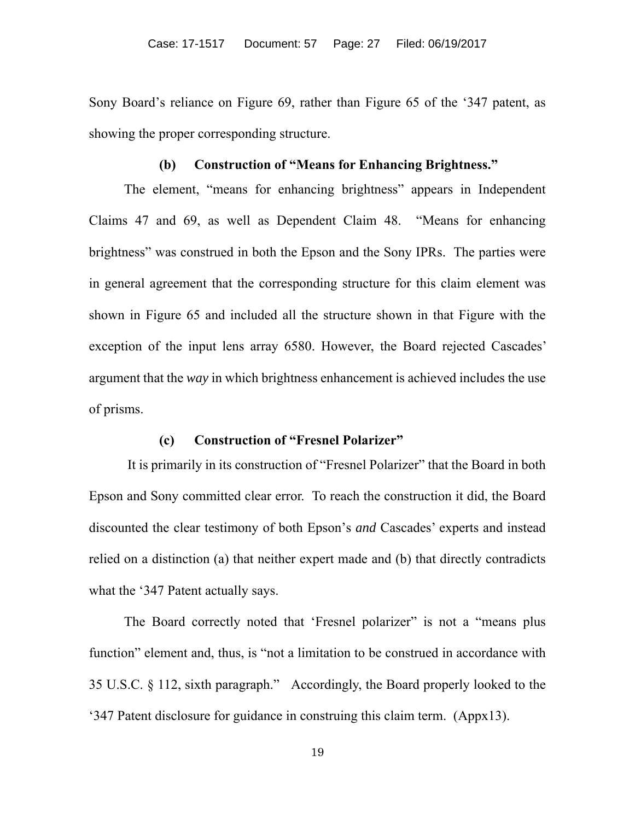Sony Board's reliance on Figure 69, rather than Figure 65 of the '347 patent, as showing the proper corresponding structure.

# **(b) Construction of "Means for Enhancing Brightness."**

The element, "means for enhancing brightness" appears in Independent Claims 47 and 69, as well as Dependent Claim 48. "Means for enhancing brightness" was construed in both the Epson and the Sony IPRs. The parties were in general agreement that the corresponding structure for this claim element was shown in Figure 65 and included all the structure shown in that Figure with the exception of the input lens array 6580. However, the Board rejected Cascades' argument that the *way* in which brightness enhancement is achieved includes the use of prisms.

#### **(c) Construction of "Fresnel Polarizer"**

 It is primarily in its construction of "Fresnel Polarizer" that the Board in both Epson and Sony committed clear error. To reach the construction it did, the Board discounted the clear testimony of both Epson's *and* Cascades' experts and instead relied on a distinction (a) that neither expert made and (b) that directly contradicts what the '347 Patent actually says.

The Board correctly noted that 'Fresnel polarizer' is not a "means plus" function" element and, thus, is "not a limitation to be construed in accordance with 35 U.S.C. § 112, sixth paragraph." Accordingly, the Board properly looked to the '347 Patent disclosure for guidance in construing this claim term. (Appx13).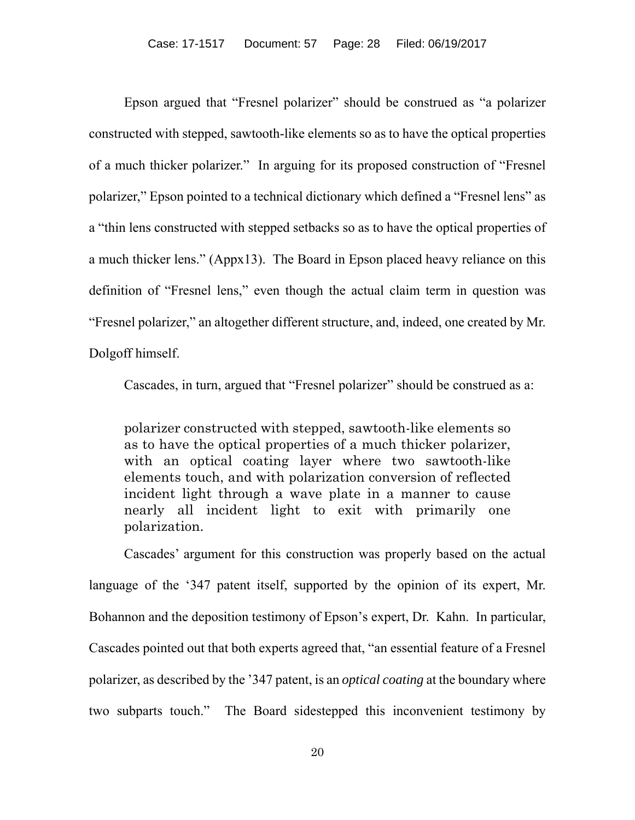Epson argued that "Fresnel polarizer" should be construed as "a polarizer constructed with stepped, sawtooth-like elements so as to have the optical properties of a much thicker polarizer." In arguing for its proposed construction of "Fresnel polarizer," Epson pointed to a technical dictionary which defined a "Fresnel lens" as a "thin lens constructed with stepped setbacks so as to have the optical properties of a much thicker lens." (Appx13). The Board in Epson placed heavy reliance on this definition of "Fresnel lens," even though the actual claim term in question was "Fresnel polarizer," an altogether different structure, and, indeed, one created by Mr. Dolgoff himself.

Cascades, in turn, argued that "Fresnel polarizer" should be construed as a:

polarizer constructed with stepped, sawtooth-like elements so as to have the optical properties of a much thicker polarizer, with an optical coating layer where two sawtooth-like elements touch, and with polarization conversion of reflected incident light through a wave plate in a manner to cause nearly all incident light to exit with primarily one polarization.

Cascades' argument for this construction was properly based on the actual language of the '347 patent itself, supported by the opinion of its expert, Mr. Bohannon and the deposition testimony of Epson's expert, Dr. Kahn. In particular, Cascades pointed out that both experts agreed that, "an essential feature of a Fresnel polarizer, as described by the '347 patent, is an *optical coating* at the boundary where two subparts touch." The Board sidestepped this inconvenient testimony by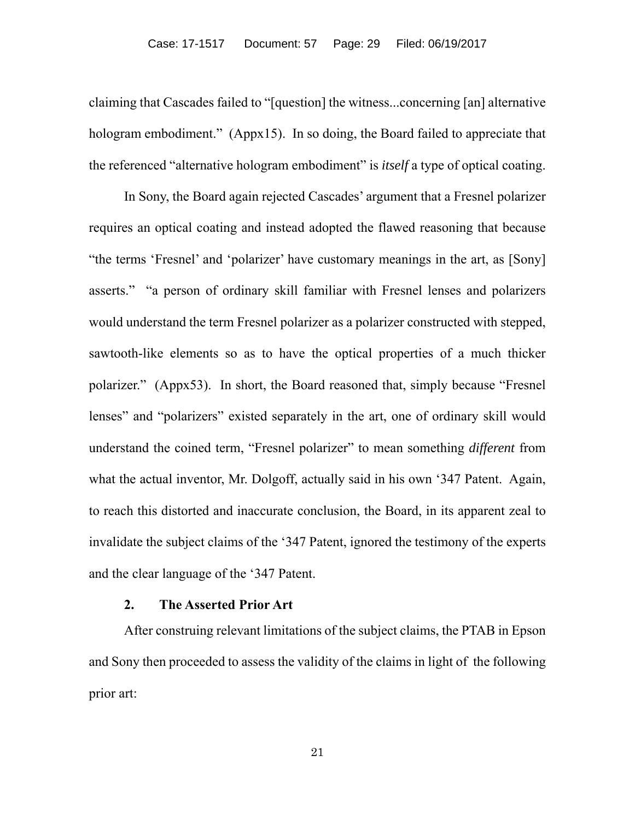claiming that Cascades failed to "[question] the witness...concerning [an] alternative hologram embodiment." (Appx15). In so doing, the Board failed to appreciate that the referenced "alternative hologram embodiment" is *itself* a type of optical coating.

In Sony, the Board again rejected Cascades' argument that a Fresnel polarizer requires an optical coating and instead adopted the flawed reasoning that because "the terms 'Fresnel' and 'polarizer' have customary meanings in the art, as [Sony] asserts." "a person of ordinary skill familiar with Fresnel lenses and polarizers would understand the term Fresnel polarizer as a polarizer constructed with stepped, sawtooth-like elements so as to have the optical properties of a much thicker polarizer." (Appx53). In short, the Board reasoned that, simply because "Fresnel lenses" and "polarizers" existed separately in the art, one of ordinary skill would understand the coined term, "Fresnel polarizer" to mean something *different* from what the actual inventor, Mr. Dolgoff, actually said in his own '347 Patent. Again, to reach this distorted and inaccurate conclusion, the Board, in its apparent zeal to invalidate the subject claims of the '347 Patent, ignored the testimony of the experts and the clear language of the '347 Patent.

#### **2. The Asserted Prior Art**

After construing relevant limitations of the subject claims, the PTAB in Epson and Sony then proceeded to assess the validity of the claims in light of the following prior art: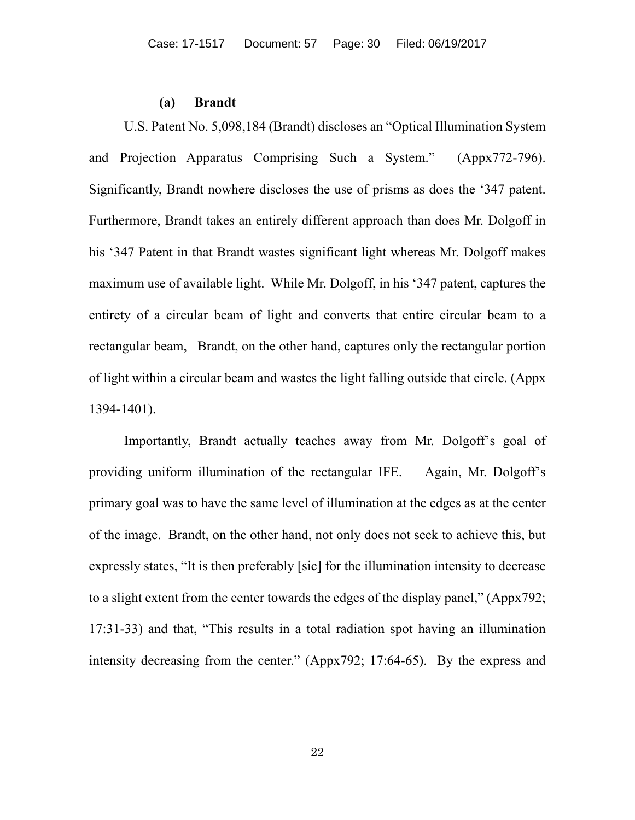#### **(a) Brandt**

U.S. Patent No. 5,098,184 (Brandt) discloses an "Optical Illumination System and Projection Apparatus Comprising Such a System." (Appx772-796). Significantly, Brandt nowhere discloses the use of prisms as does the '347 patent. Furthermore, Brandt takes an entirely different approach than does Mr. Dolgoff in his '347 Patent in that Brandt wastes significant light whereas Mr. Dolgoff makes maximum use of available light. While Mr. Dolgoff, in his '347 patent, captures the entirety of a circular beam of light and converts that entire circular beam to a rectangular beam, Brandt, on the other hand, captures only the rectangular portion of light within a circular beam and wastes the light falling outside that circle. (Appx 1394-1401).

Importantly, Brandt actually teaches away from Mr. Dolgoff's goal of providing uniform illumination of the rectangular IFE. Again, Mr. Dolgoff's primary goal was to have the same level of illumination at the edges as at the center of the image. Brandt, on the other hand, not only does not seek to achieve this, but expressly states, "It is then preferably [sic] for the illumination intensity to decrease to a slight extent from the center towards the edges of the display panel," (Appx792; 17:31-33) and that, "This results in a total radiation spot having an illumination intensity decreasing from the center." (Appx792; 17:64-65). By the express and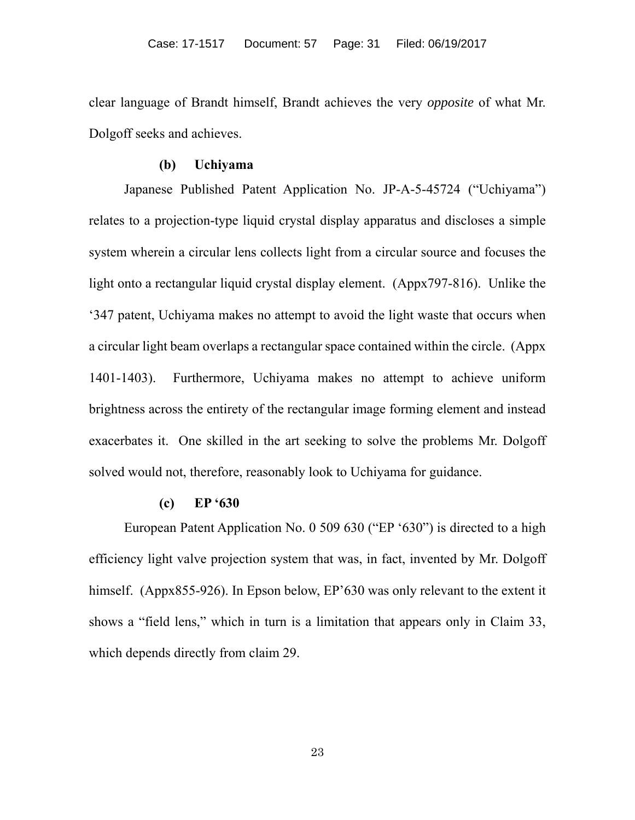clear language of Brandt himself, Brandt achieves the very *opposite* of what Mr. Dolgoff seeks and achieves.

#### **(b) Uchiyama**

Japanese Published Patent Application No. JP-A-5-45724 ("Uchiyama") relates to a projection-type liquid crystal display apparatus and discloses a simple system wherein a circular lens collects light from a circular source and focuses the light onto a rectangular liquid crystal display element. (Appx797-816). Unlike the '347 patent, Uchiyama makes no attempt to avoid the light waste that occurs when a circular light beam overlaps a rectangular space contained within the circle. (Appx 1401-1403). Furthermore, Uchiyama makes no attempt to achieve uniform brightness across the entirety of the rectangular image forming element and instead exacerbates it. One skilled in the art seeking to solve the problems Mr. Dolgoff solved would not, therefore, reasonably look to Uchiyama for guidance.

# **(c) EP '630**

European Patent Application No. 0 509 630 ("EP '630") is directed to a high efficiency light valve projection system that was, in fact, invented by Mr. Dolgoff himself. (Appx855-926). In Epson below, EP'630 was only relevant to the extent it shows a "field lens," which in turn is a limitation that appears only in Claim 33, which depends directly from claim 29.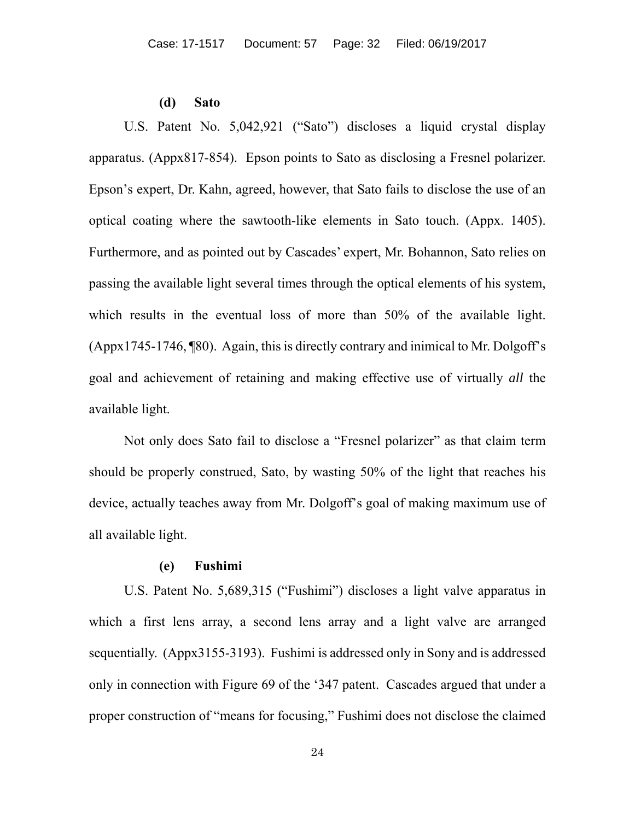#### **(d) Sato**

U.S. Patent No. 5,042,921 ("Sato") discloses a liquid crystal display apparatus. (Appx817-854). Epson points to Sato as disclosing a Fresnel polarizer. Epson's expert, Dr. Kahn, agreed, however, that Sato fails to disclose the use of an optical coating where the sawtooth-like elements in Sato touch. (Appx. 1405). Furthermore, and as pointed out by Cascades' expert, Mr. Bohannon, Sato relies on passing the available light several times through the optical elements of his system, which results in the eventual loss of more than 50% of the available light. (Appx1745-1746, ¶80). Again, this is directly contrary and inimical to Mr. Dolgoff's goal and achievement of retaining and making effective use of virtually *all* the available light.

Not only does Sato fail to disclose a "Fresnel polarizer" as that claim term should be properly construed, Sato, by wasting 50% of the light that reaches his device, actually teaches away from Mr. Dolgoff's goal of making maximum use of all available light.

# **(e) Fushimi**

U.S. Patent No. 5,689,315 ("Fushimi") discloses a light valve apparatus in which a first lens array, a second lens array and a light valve are arranged sequentially. (Appx3155-3193). Fushimi is addressed only in Sony and is addressed only in connection with Figure 69 of the '347 patent. Cascades argued that under a proper construction of "means for focusing," Fushimi does not disclose the claimed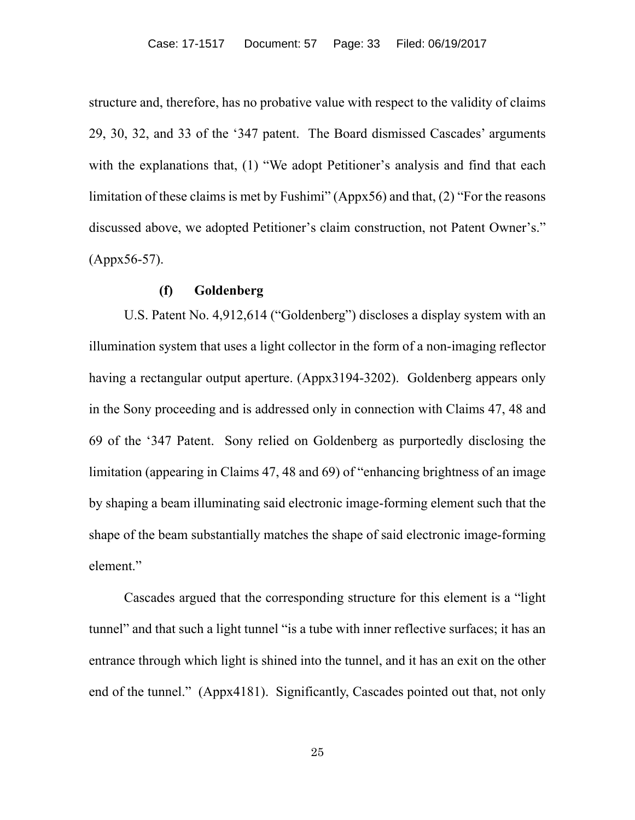structure and, therefore, has no probative value with respect to the validity of claims 29, 30, 32, and 33 of the '347 patent. The Board dismissed Cascades' arguments with the explanations that, (1) "We adopt Petitioner's analysis and find that each limitation of these claims is met by Fushimi" (Appx56) and that, (2) "For the reasons discussed above, we adopted Petitioner's claim construction, not Patent Owner's." (Appx56-57).

#### **(f) Goldenberg**

U.S. Patent No. 4,912,614 ("Goldenberg") discloses a display system with an illumination system that uses a light collector in the form of a non-imaging reflector having a rectangular output aperture. (Appx3194-3202). Goldenberg appears only in the Sony proceeding and is addressed only in connection with Claims 47, 48 and 69 of the '347 Patent. Sony relied on Goldenberg as purportedly disclosing the limitation (appearing in Claims 47, 48 and 69) of "enhancing brightness of an image by shaping a beam illuminating said electronic image-forming element such that the shape of the beam substantially matches the shape of said electronic image-forming element."

Cascades argued that the corresponding structure for this element is a "light tunnel" and that such a light tunnel "is a tube with inner reflective surfaces; it has an entrance through which light is shined into the tunnel, and it has an exit on the other end of the tunnel." (Appx4181). Significantly, Cascades pointed out that, not only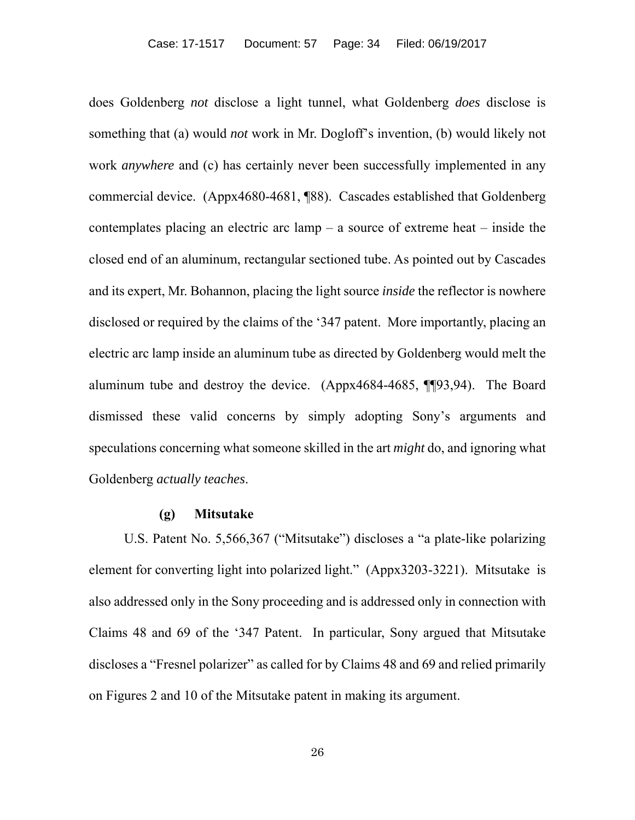does Goldenberg *not* disclose a light tunnel, what Goldenberg *does* disclose is something that (a) would *not* work in Mr. Dogloff's invention, (b) would likely not work *anywhere* and (c) has certainly never been successfully implemented in any commercial device. (Appx4680-4681, ¶88). Cascades established that Goldenberg contemplates placing an electric arc lamp – a source of extreme heat – inside the closed end of an aluminum, rectangular sectioned tube. As pointed out by Cascades and its expert, Mr. Bohannon, placing the light source *inside* the reflector is nowhere disclosed or required by the claims of the '347 patent. More importantly, placing an electric arc lamp inside an aluminum tube as directed by Goldenberg would melt the aluminum tube and destroy the device. (Appx4684-4685, ¶¶93,94). The Board dismissed these valid concerns by simply adopting Sony's arguments and speculations concerning what someone skilled in the art *might* do, and ignoring what Goldenberg *actually teaches*.

#### **(g) Mitsutake**

U.S. Patent No. 5,566,367 ("Mitsutake") discloses a "a plate-like polarizing element for converting light into polarized light." (Appx3203-3221). Mitsutake is also addressed only in the Sony proceeding and is addressed only in connection with Claims 48 and 69 of the '347 Patent. In particular, Sony argued that Mitsutake discloses a "Fresnel polarizer" as called for by Claims 48 and 69 and relied primarily on Figures 2 and 10 of the Mitsutake patent in making its argument.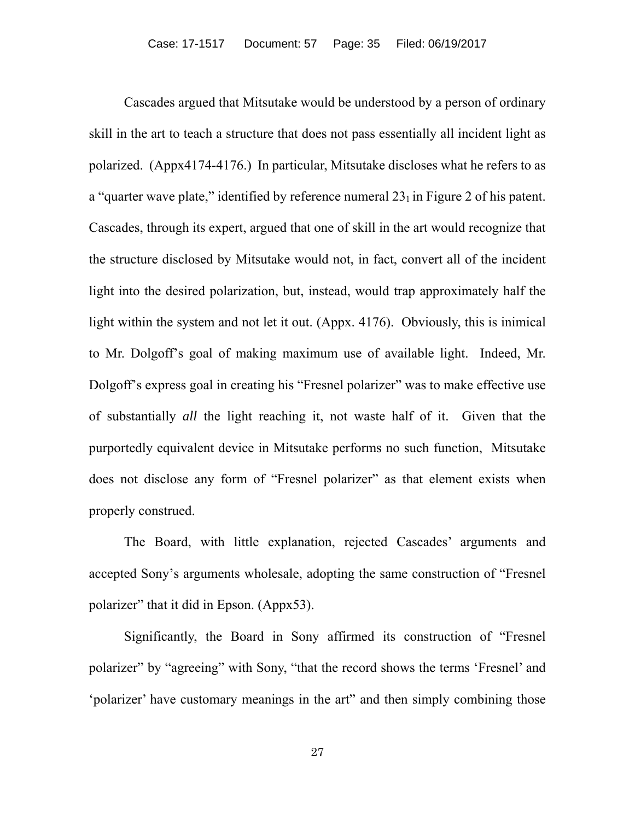Cascades argued that Mitsutake would be understood by a person of ordinary skill in the art to teach a structure that does not pass essentially all incident light as polarized. (Appx4174-4176.) In particular, Mitsutake discloses what he refers to as a "quarter wave plate," identified by reference numeral  $23<sub>1</sub>$  in Figure 2 of his patent. Cascades, through its expert, argued that one of skill in the art would recognize that the structure disclosed by Mitsutake would not, in fact, convert all of the incident light into the desired polarization, but, instead, would trap approximately half the light within the system and not let it out. (Appx. 4176). Obviously, this is inimical to Mr. Dolgoff's goal of making maximum use of available light. Indeed, Mr. Dolgoff's express goal in creating his "Fresnel polarizer" was to make effective use of substantially *all* the light reaching it, not waste half of it. Given that the purportedly equivalent device in Mitsutake performs no such function, Mitsutake does not disclose any form of "Fresnel polarizer" as that element exists when properly construed.

The Board, with little explanation, rejected Cascades' arguments and accepted Sony's arguments wholesale, adopting the same construction of "Fresnel polarizer" that it did in Epson. (Appx53).

Significantly, the Board in Sony affirmed its construction of "Fresnel polarizer" by "agreeing" with Sony, "that the record shows the terms 'Fresnel' and 'polarizer' have customary meanings in the art" and then simply combining those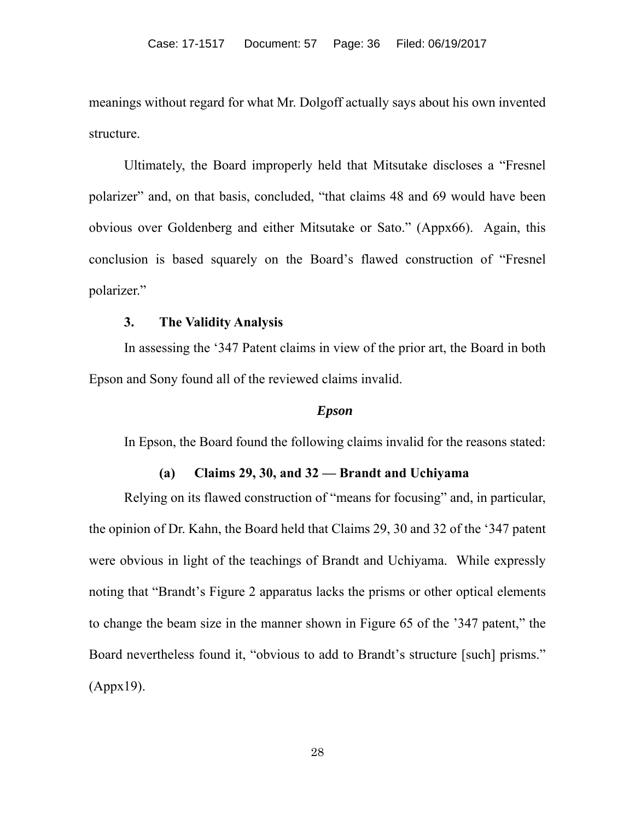meanings without regard for what Mr. Dolgoff actually says about his own invented structure.

Ultimately, the Board improperly held that Mitsutake discloses a "Fresnel polarizer" and, on that basis, concluded, "that claims 48 and 69 would have been obvious over Goldenberg and either Mitsutake or Sato." (Appx66). Again, this conclusion is based squarely on the Board's flawed construction of "Fresnel polarizer."

# **3. The Validity Analysis**

In assessing the '347 Patent claims in view of the prior art, the Board in both Epson and Sony found all of the reviewed claims invalid.

#### *Epson*

In Epson, the Board found the following claims invalid for the reasons stated:

#### **(a) Claims 29, 30, and 32 — Brandt and Uchiyama**

Relying on its flawed construction of "means for focusing" and, in particular, the opinion of Dr. Kahn, the Board held that Claims 29, 30 and 32 of the '347 patent were obvious in light of the teachings of Brandt and Uchiyama. While expressly noting that "Brandt's Figure 2 apparatus lacks the prisms or other optical elements to change the beam size in the manner shown in Figure 65 of the '347 patent," the Board nevertheless found it, "obvious to add to Brandt's structure [such] prisms." (Appx19).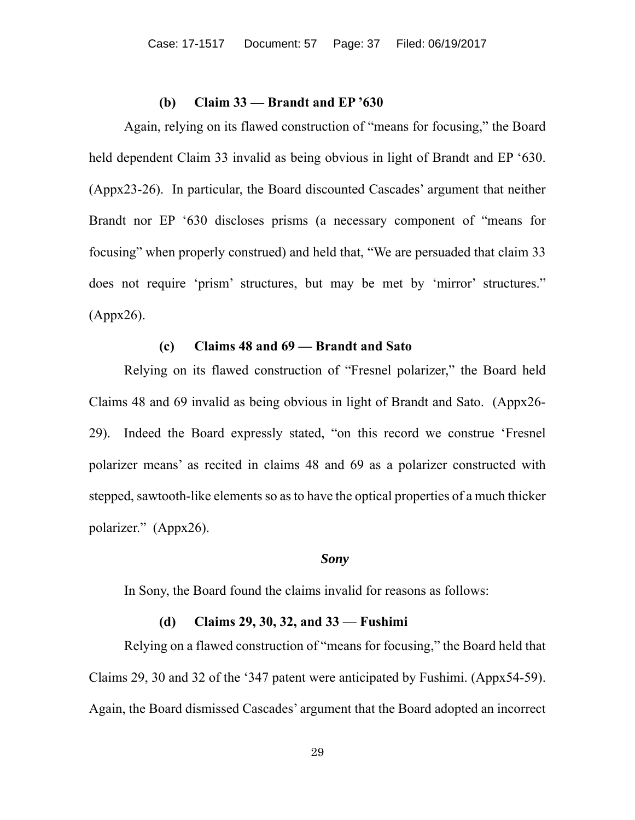#### **(b) Claim 33 — Brandt and EP '630**

Again, relying on its flawed construction of "means for focusing," the Board held dependent Claim 33 invalid as being obvious in light of Brandt and EP '630. (Appx23-26). In particular, the Board discounted Cascades' argument that neither Brandt nor EP '630 discloses prisms (a necessary component of "means for focusing" when properly construed) and held that, "We are persuaded that claim 33 does not require 'prism' structures, but may be met by 'mirror' structures." (Appx26).

# **(c) Claims 48 and 69 — Brandt and Sato**

Relying on its flawed construction of "Fresnel polarizer," the Board held Claims 48 and 69 invalid as being obvious in light of Brandt and Sato. (Appx26- 29). Indeed the Board expressly stated, "on this record we construe 'Fresnel polarizer means' as recited in claims 48 and 69 as a polarizer constructed with stepped, sawtooth-like elements so as to have the optical properties of a much thicker polarizer." (Appx26).

#### *Sony*

In Sony, the Board found the claims invalid for reasons as follows:

#### **(d) Claims 29, 30, 32, and 33 — Fushimi**

Relying on a flawed construction of "means for focusing," the Board held that Claims 29, 30 and 32 of the '347 patent were anticipated by Fushimi. (Appx54-59). Again, the Board dismissed Cascades' argument that the Board adopted an incorrect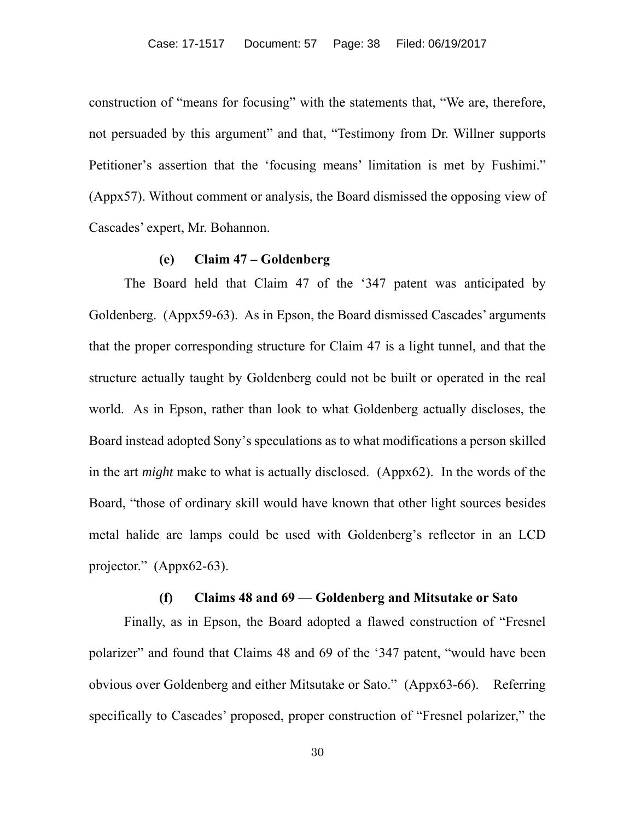construction of "means for focusing" with the statements that, "We are, therefore, not persuaded by this argument" and that, "Testimony from Dr. Willner supports Petitioner's assertion that the 'focusing means' limitation is met by Fushimi." (Appx57). Without comment or analysis, the Board dismissed the opposing view of Cascades' expert, Mr. Bohannon.

#### **(e) Claim 47 – Goldenberg**

The Board held that Claim 47 of the '347 patent was anticipated by Goldenberg. (Appx59-63). As in Epson, the Board dismissed Cascades' arguments that the proper corresponding structure for Claim 47 is a light tunnel, and that the structure actually taught by Goldenberg could not be built or operated in the real world. As in Epson, rather than look to what Goldenberg actually discloses, the Board instead adopted Sony's speculations as to what modifications a person skilled in the art *might* make to what is actually disclosed. (Appx62). In the words of the Board, "those of ordinary skill would have known that other light sources besides metal halide arc lamps could be used with Goldenberg's reflector in an LCD projector." (Appx62-63).

#### **(f) Claims 48 and 69 — Goldenberg and Mitsutake or Sato**

Finally, as in Epson, the Board adopted a flawed construction of "Fresnel polarizer" and found that Claims 48 and 69 of the '347 patent, "would have been obvious over Goldenberg and either Mitsutake or Sato." (Appx63-66). Referring specifically to Cascades' proposed, proper construction of "Fresnel polarizer," the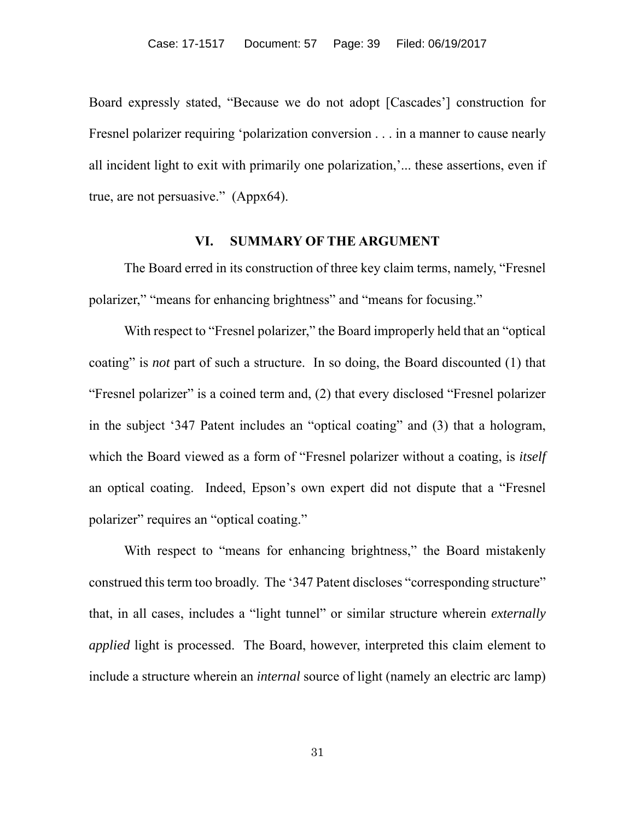Board expressly stated, "Because we do not adopt [Cascades'] construction for Fresnel polarizer requiring 'polarization conversion . . . in a manner to cause nearly all incident light to exit with primarily one polarization,'... these assertions, even if true, are not persuasive." (Appx64).

#### **VI. SUMMARY OF THE ARGUMENT**

The Board erred in its construction of three key claim terms, namely, "Fresnel polarizer," "means for enhancing brightness" and "means for focusing."

With respect to "Fresnel polarizer," the Board improperly held that an "optical coating" is *not* part of such a structure. In so doing, the Board discounted (1) that "Fresnel polarizer" is a coined term and, (2) that every disclosed "Fresnel polarizer in the subject '347 Patent includes an "optical coating" and (3) that a hologram, which the Board viewed as a form of "Fresnel polarizer without a coating, is *itself*  an optical coating. Indeed, Epson's own expert did not dispute that a "Fresnel polarizer" requires an "optical coating."

With respect to "means for enhancing brightness," the Board mistakenly construed this term too broadly. The '347 Patent discloses "corresponding structure" that, in all cases, includes a "light tunnel" or similar structure wherein *externally applied* light is processed. The Board, however, interpreted this claim element to include a structure wherein an *internal* source of light (namely an electric arc lamp)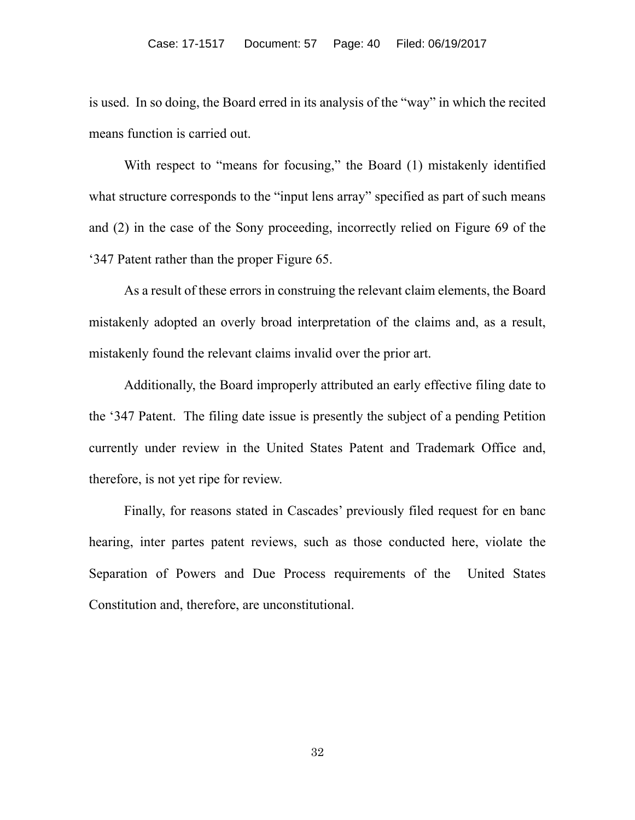is used. In so doing, the Board erred in its analysis of the "way" in which the recited means function is carried out.

With respect to "means for focusing," the Board (1) mistakenly identified what structure corresponds to the "input lens array" specified as part of such means and (2) in the case of the Sony proceeding, incorrectly relied on Figure 69 of the '347 Patent rather than the proper Figure 65.

As a result of these errors in construing the relevant claim elements, the Board mistakenly adopted an overly broad interpretation of the claims and, as a result, mistakenly found the relevant claims invalid over the prior art.

Additionally, the Board improperly attributed an early effective filing date to the '347 Patent. The filing date issue is presently the subject of a pending Petition currently under review in the United States Patent and Trademark Office and, therefore, is not yet ripe for review.

Finally, for reasons stated in Cascades' previously filed request for en banc hearing, inter partes patent reviews, such as those conducted here, violate the Separation of Powers and Due Process requirements of the United States Constitution and, therefore, are unconstitutional.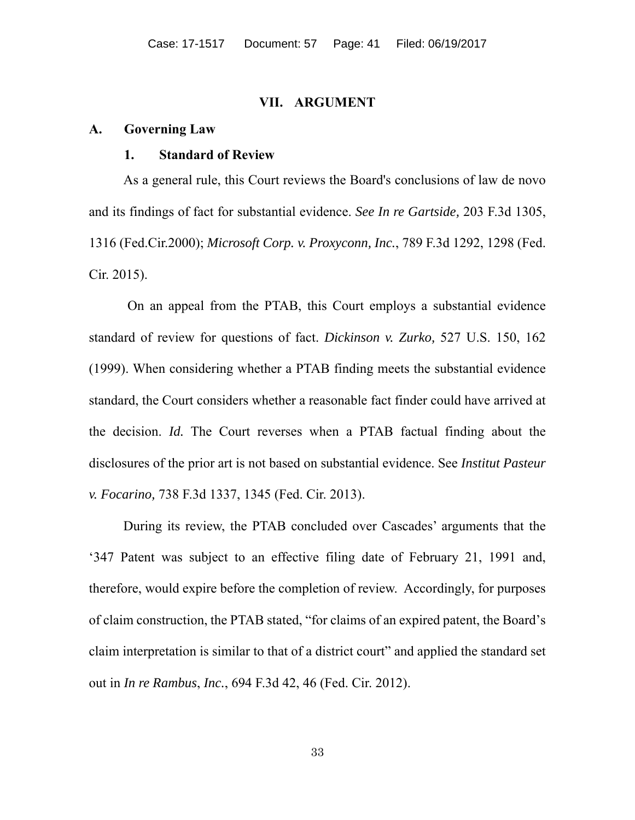#### **VII. ARGUMENT**

#### **A. Governing Law**

#### **1. Standard of Review**

 As a general rule, this Court reviews the Board's conclusions of law de novo and its findings of fact for substantial evidence. *See In re Gartside,* 203 F.3d 1305, 1316 (Fed.Cir.2000); *Microsoft Corp. v. Proxyconn, Inc.*, 789 F.3d 1292, 1298 (Fed. Cir. 2015).

 On an appeal from the PTAB, this Court employs a substantial evidence standard of review for questions of fact. *Dickinson v. Zurko,* 527 U.S. 150, 162 (1999). When considering whether a PTAB finding meets the substantial evidence standard, the Court considers whether a reasonable fact finder could have arrived at the decision. *Id.* The Court reverses when a PTAB factual finding about the disclosures of the prior art is not based on substantial evidence. See *Institut Pasteur v. Focarino,* 738 F.3d 1337, 1345 (Fed. Cir. 2013).

 During its review, the PTAB concluded over Cascades' arguments that the '347 Patent was subject to an effective filing date of February 21, 1991 and, therefore, would expire before the completion of review. Accordingly, for purposes of claim construction, the PTAB stated, "for claims of an expired patent, the Board's claim interpretation is similar to that of a district court" and applied the standard set out in *In re Rambus*, *Inc.*, 694 F.3d 42, 46 (Fed. Cir. 2012).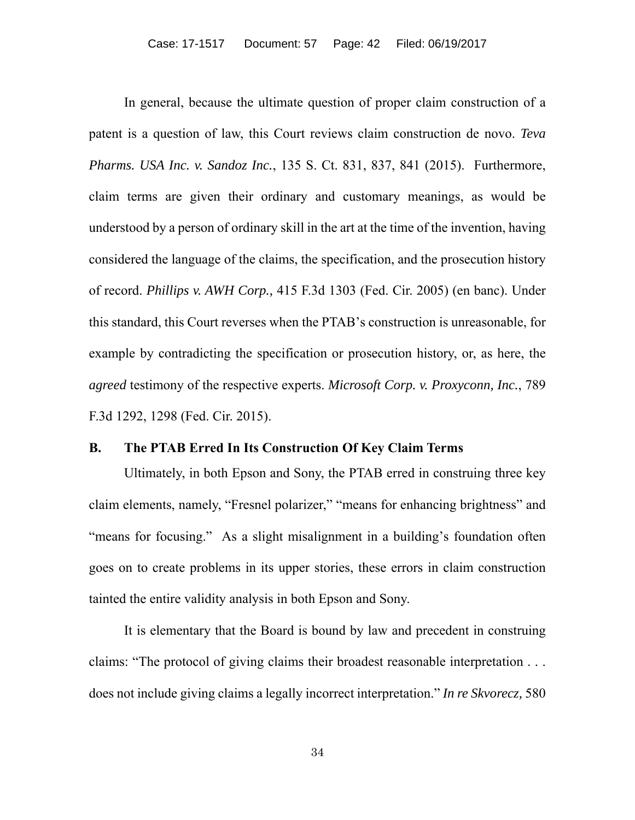In general, because the ultimate question of proper claim construction of a patent is a question of law, this Court reviews claim construction de novo. *Teva Pharms. USA Inc. v. Sandoz Inc.*, 135 S. Ct. 831, 837, 841 (2015). Furthermore, claim terms are given their ordinary and customary meanings, as would be understood by a person of ordinary skill in the art at the time of the invention, having considered the language of the claims, the specification, and the prosecution history of record. *Phillips v. AWH Corp.,* 415 F.3d 1303 (Fed. Cir. 2005) (en banc). Under this standard, this Court reverses when the PTAB's construction is unreasonable, for example by contradicting the specification or prosecution history, or, as here, the *agreed* testimony of the respective experts. *Microsoft Corp. v. Proxyconn, Inc.*, 789 F.3d 1292, 1298 (Fed. Cir. 2015).

## **B. The PTAB Erred In Its Construction Of Key Claim Terms**

Ultimately, in both Epson and Sony, the PTAB erred in construing three key claim elements, namely, "Fresnel polarizer," "means for enhancing brightness" and "means for focusing." As a slight misalignment in a building's foundation often goes on to create problems in its upper stories, these errors in claim construction tainted the entire validity analysis in both Epson and Sony.

It is elementary that the Board is bound by law and precedent in construing claims: "The protocol of giving claims their broadest reasonable interpretation . . . does not include giving claims a legally incorrect interpretation." *In re Skvorecz,* 580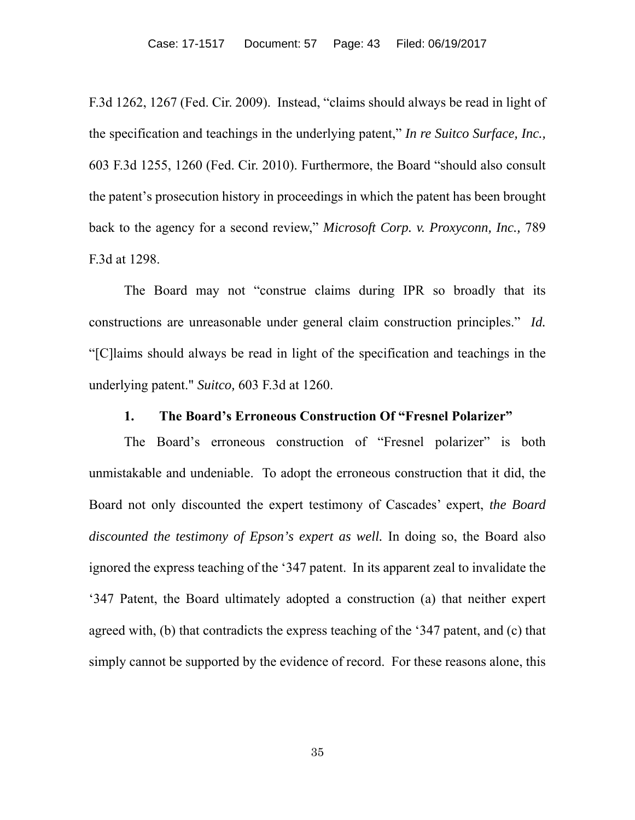F.3d 1262, 1267 (Fed. Cir. 2009). Instead, "claims should always be read in light of the specification and teachings in the underlying patent," *In re Suitco Surface, Inc.,* 603 F.3d 1255, 1260 (Fed. Cir. 2010). Furthermore, the Board "should also consult the patent's prosecution history in proceedings in which the patent has been brought back to the agency for a second review," *Microsoft Corp. v. Proxyconn, Inc.,* 789 F.3d at 1298.

The Board may not "construe claims during IPR so broadly that its constructions are unreasonable under general claim construction principles." *Id.*  "[C]laims should always be read in light of the specification and teachings in the underlying patent." *Suitco,* 603 F.3d at 1260.

### **1. The Board's Erroneous Construction Of "Fresnel Polarizer"**

The Board's erroneous construction of "Fresnel polarizer" is both unmistakable and undeniable. To adopt the erroneous construction that it did, the Board not only discounted the expert testimony of Cascades' expert, *the Board discounted the testimony of Epson's expert as well.* In doing so, the Board also ignored the express teaching of the '347 patent. In its apparent zeal to invalidate the '347 Patent, the Board ultimately adopted a construction (a) that neither expert agreed with, (b) that contradicts the express teaching of the '347 patent, and (c) that simply cannot be supported by the evidence of record. For these reasons alone, this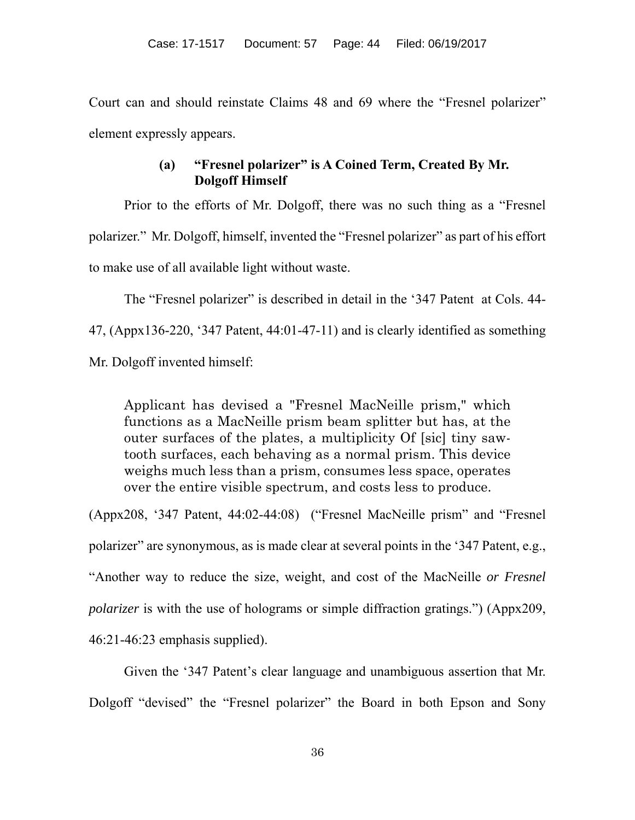Court can and should reinstate Claims 48 and 69 where the "Fresnel polarizer" element expressly appears.

# **(a) "Fresnel polarizer" is A Coined Term, Created By Mr. Dolgoff Himself**

Prior to the efforts of Mr. Dolgoff, there was no such thing as a "Fresnel polarizer." Mr. Dolgoff, himself, invented the "Fresnel polarizer" as part of his effort to make use of all available light without waste.

The "Fresnel polarizer" is described in detail in the '347 Patent at Cols. 44-47, (Appx136-220, '347 Patent, 44:01-47-11) and is clearly identified as something Mr. Dolgoff invented himself:

Applicant has devised a "Fresnel MacNeille prism," which functions as a MacNeille prism beam splitter but has, at the outer surfaces of the plates, a multiplicity Of [sic] tiny sawtooth surfaces, each behaving as a normal prism. This device weighs much less than a prism, consumes less space, operates over the entire visible spectrum, and costs less to produce.

(Appx208, '347 Patent, 44:02-44:08) ("Fresnel MacNeille prism" and "Fresnel polarizer" are synonymous, as is made clear at several points in the '347 Patent, e.g., "Another way to reduce the size, weight, and cost of the MacNeille *or Fresnel polarizer* is with the use of holograms or simple diffraction gratings.") (Appx209, 46:21-46:23 emphasis supplied).

Given the '347 Patent's clear language and unambiguous assertion that Mr. Dolgoff "devised" the "Fresnel polarizer" the Board in both Epson and Sony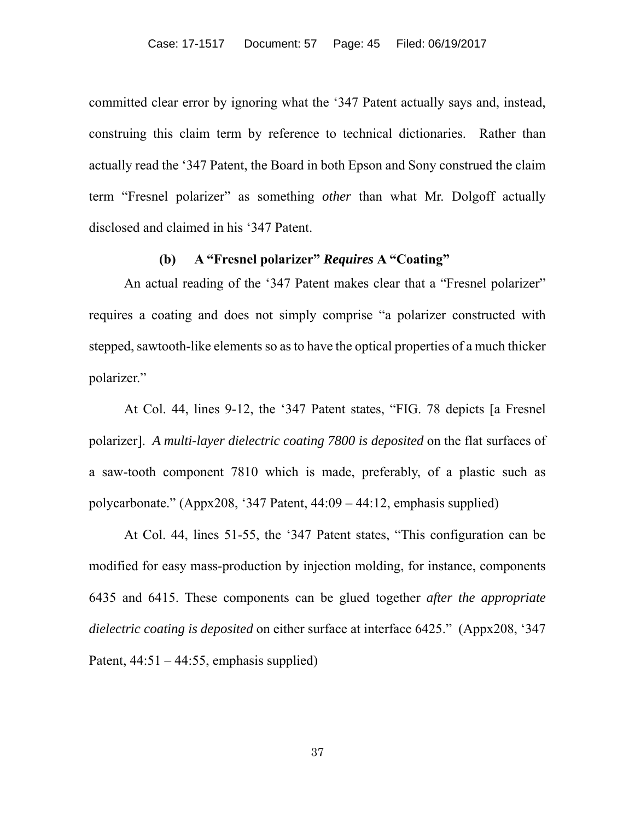committed clear error by ignoring what the '347 Patent actually says and, instead, construing this claim term by reference to technical dictionaries. Rather than actually read the '347 Patent, the Board in both Epson and Sony construed the claim term "Fresnel polarizer" as something *other* than what Mr. Dolgoff actually disclosed and claimed in his '347 Patent.

# **(b) A "Fresnel polarizer"** *Requires* **A "Coating"**

An actual reading of the '347 Patent makes clear that a "Fresnel polarizer" requires a coating and does not simply comprise "a polarizer constructed with stepped, sawtooth-like elements so as to have the optical properties of a much thicker polarizer."

At Col. 44, lines 9-12, the '347 Patent states, "FIG. 78 depicts [a Fresnel polarizer]. *A multi-layer dielectric coating 7800 is deposited* on the flat surfaces of a saw-tooth component 7810 which is made, preferably, of a plastic such as polycarbonate." (Appx208, '347 Patent, 44:09 – 44:12, emphasis supplied)

At Col. 44, lines 51-55, the '347 Patent states, "This configuration can be modified for easy mass-production by injection molding, for instance, components 6435 and 6415. These components can be glued together *after the appropriate dielectric coating is deposited* on either surface at interface 6425." (Appx208, '347 Patent,  $44:51 - 44:55$ , emphasis supplied)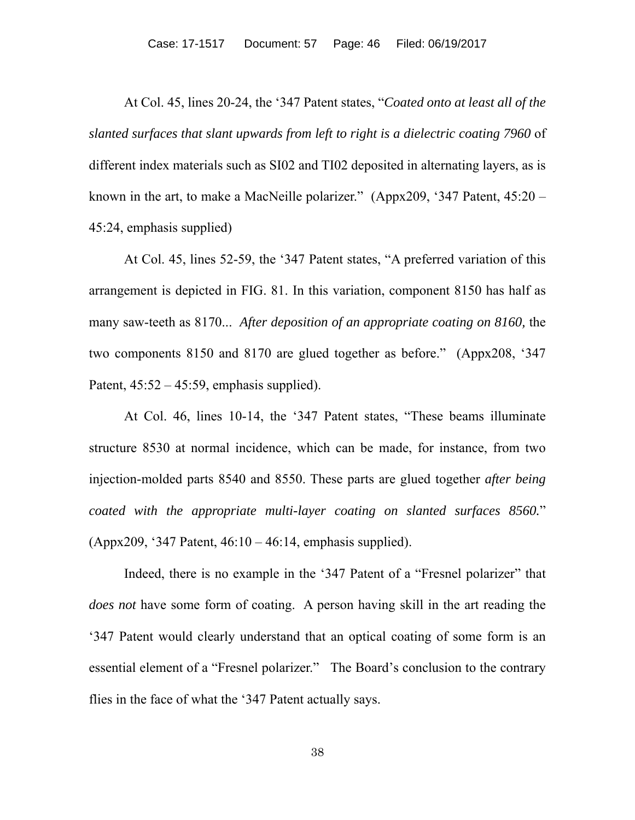At Col. 45, lines 20-24, the '347 Patent states, "*Coated onto at least all of the slanted surfaces that slant upwards from left to right is a dielectric coating 7960* of different index materials such as SI02 and TI02 deposited in alternating layers, as is known in the art, to make a MacNeille polarizer." (Appx209, '347 Patent, 45:20 – 45:24, emphasis supplied)

At Col. 45, lines 52-59, the '347 Patent states, "A preferred variation of this arrangement is depicted in FIG. 81. In this variation, component 8150 has half as many saw-teeth as 8170... *After deposition of an appropriate coating on 8160,* the two components 8150 and 8170 are glued together as before." (Appx208, '347 Patent,  $45:52 - 45:59$ , emphasis supplied).

At Col. 46, lines 10-14, the '347 Patent states, "These beams illuminate structure 8530 at normal incidence, which can be made, for instance, from two injection-molded parts 8540 and 8550. These parts are glued together *after being coated with the appropriate multi-layer coating on slanted surfaces 8560.*" (Appx209, '347 Patent, 46:10 – 46:14, emphasis supplied).

Indeed, there is no example in the '347 Patent of a "Fresnel polarizer" that *does not* have some form of coating. A person having skill in the art reading the '347 Patent would clearly understand that an optical coating of some form is an essential element of a "Fresnel polarizer." The Board's conclusion to the contrary flies in the face of what the '347 Patent actually says.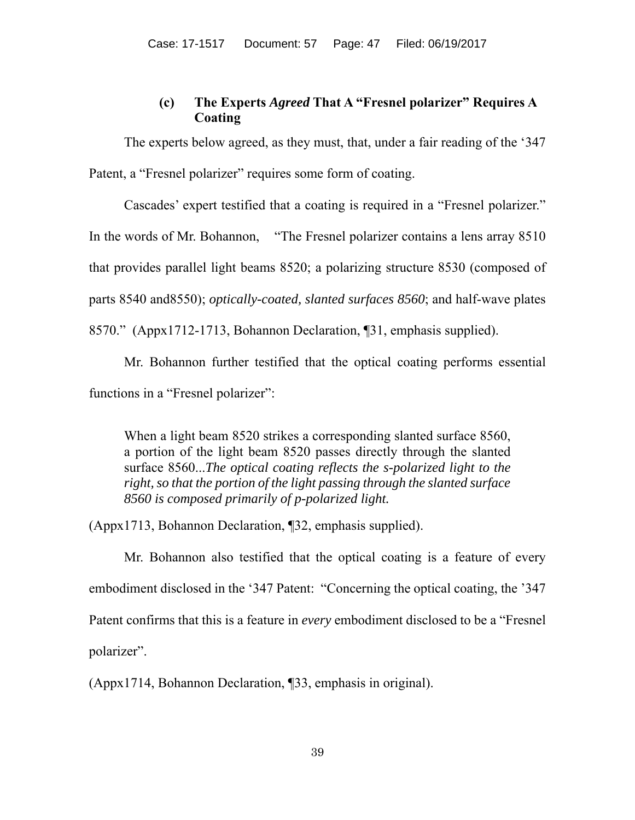# **(c) The Experts** *Agreed* **That A "Fresnel polarizer" Requires A Coating**

The experts below agreed, as they must, that, under a fair reading of the '347 Patent, a "Fresnel polarizer" requires some form of coating.

Cascades' expert testified that a coating is required in a "Fresnel polarizer."

In the words of Mr. Bohannon, "The Fresnel polarizer contains a lens array 8510

that provides parallel light beams 8520; a polarizing structure 8530 (composed of

parts 8540 and8550); *optically-coated, slanted surfaces 8560*; and half-wave plates

8570." (Appx1712-1713, Bohannon Declaration, ¶31, emphasis supplied).

Mr. Bohannon further testified that the optical coating performs essential functions in a "Fresnel polarizer":

When a light beam 8520 strikes a corresponding slanted surface 8560, a portion of the light beam 8520 passes directly through the slanted surface 8560...*The optical coating reflects the s-polarized light to the right, so that the portion of the light passing through the slanted surface 8560 is composed primarily of p-polarized light.*

(Appx1713, Bohannon Declaration, ¶32, emphasis supplied).

Mr. Bohannon also testified that the optical coating is a feature of every embodiment disclosed in the '347 Patent: "Concerning the optical coating, the '347 Patent confirms that this is a feature in *every* embodiment disclosed to be a "Fresnel polarizer".

(Appx1714, Bohannon Declaration, ¶33, emphasis in original).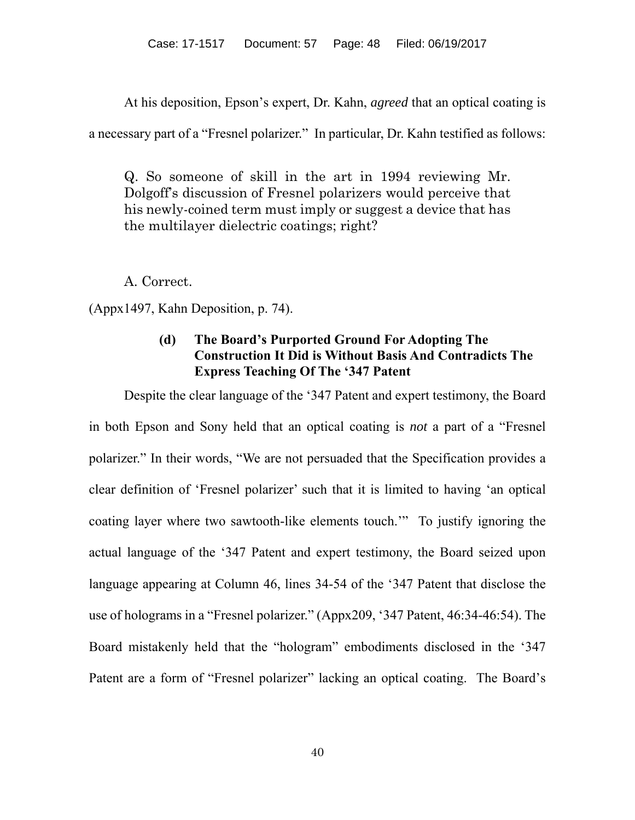At his deposition, Epson's expert, Dr. Kahn, *agreed* that an optical coating is

a necessary part of a "Fresnel polarizer." In particular, Dr. Kahn testified as follows:

Q. So someone of skill in the art in 1994 reviewing Mr. Dolgoff's discussion of Fresnel polarizers would perceive that his newly-coined term must imply or suggest a device that has the multilayer dielectric coatings; right?

A. Correct.

(Appx1497, Kahn Deposition, p. 74).

# **(d) The Board's Purported Ground For Adopting The Construction It Did is Without Basis And Contradicts The Express Teaching Of The '347 Patent**

Despite the clear language of the '347 Patent and expert testimony, the Board in both Epson and Sony held that an optical coating is *not* a part of a "Fresnel polarizer." In their words, "We are not persuaded that the Specification provides a clear definition of 'Fresnel polarizer' such that it is limited to having 'an optical coating layer where two sawtooth-like elements touch.'" To justify ignoring the actual language of the '347 Patent and expert testimony, the Board seized upon language appearing at Column 46, lines 34-54 of the '347 Patent that disclose the use of holograms in a "Fresnel polarizer." (Appx209, '347 Patent, 46:34-46:54). The Board mistakenly held that the "hologram" embodiments disclosed in the '347 Patent are a form of "Fresnel polarizer" lacking an optical coating. The Board's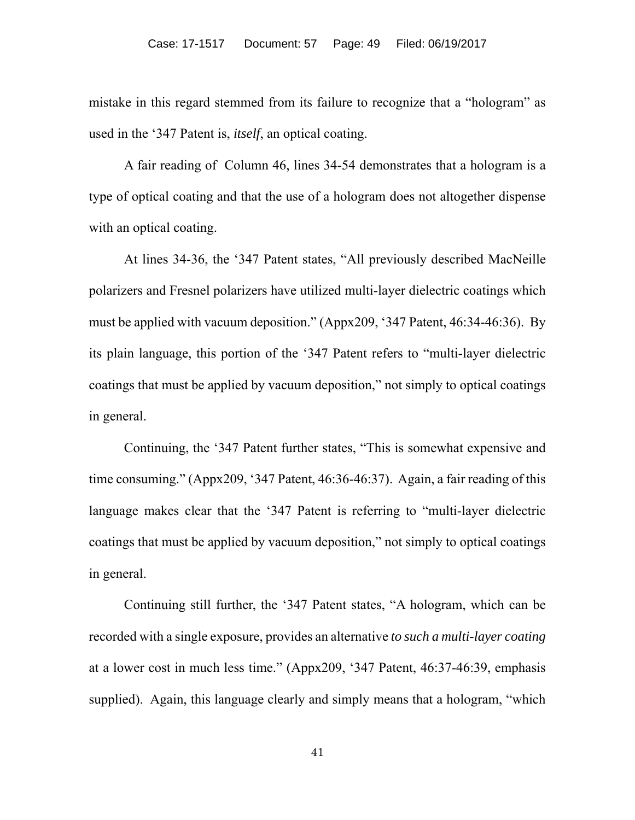mistake in this regard stemmed from its failure to recognize that a "hologram" as used in the '347 Patent is, *itself*, an optical coating.

A fair reading of Column 46, lines 34-54 demonstrates that a hologram is a type of optical coating and that the use of a hologram does not altogether dispense with an optical coating.

At lines 34-36, the '347 Patent states, "All previously described MacNeille polarizers and Fresnel polarizers have utilized multi-layer dielectric coatings which must be applied with vacuum deposition." (Appx209, '347 Patent, 46:34-46:36). By its plain language, this portion of the '347 Patent refers to "multi-layer dielectric coatings that must be applied by vacuum deposition," not simply to optical coatings in general.

Continuing, the '347 Patent further states, "This is somewhat expensive and time consuming." (Appx209, '347 Patent, 46:36-46:37). Again, a fair reading of this language makes clear that the '347 Patent is referring to "multi-layer dielectric coatings that must be applied by vacuum deposition," not simply to optical coatings in general.

Continuing still further, the '347 Patent states, "A hologram, which can be recorded with a single exposure, provides an alternative *to such a multi-layer coating*  at a lower cost in much less time." (Appx209, '347 Patent, 46:37-46:39, emphasis supplied). Again, this language clearly and simply means that a hologram, "which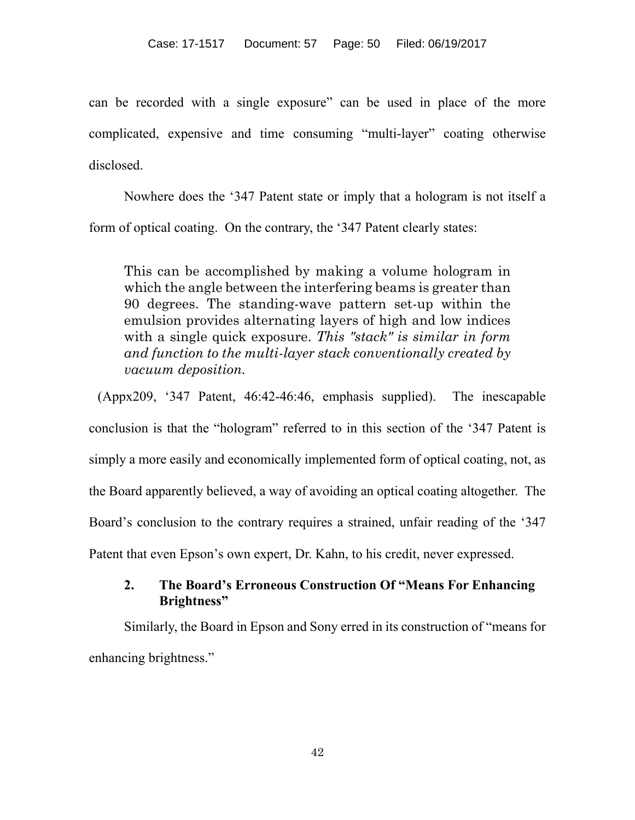can be recorded with a single exposure" can be used in place of the more complicated, expensive and time consuming "multi-layer" coating otherwise disclosed.

Nowhere does the '347 Patent state or imply that a hologram is not itself a form of optical coating. On the contrary, the '347 Patent clearly states:

This can be accomplished by making a volume hologram in which the angle between the interfering beams is greater than 90 degrees. The standing-wave pattern set-up within the emulsion provides alternating layers of high and low indices with a single quick exposure. *This "stack" is similar in form and function to the multi-layer stack conventionally created by vacuum deposition.*

(Appx209, '347 Patent, 46:42-46:46, emphasis supplied). The inescapable conclusion is that the "hologram" referred to in this section of the '347 Patent is simply a more easily and economically implemented form of optical coating, not, as the Board apparently believed, a way of avoiding an optical coating altogether. The Board's conclusion to the contrary requires a strained, unfair reading of the '347 Patent that even Epson's own expert, Dr. Kahn, to his credit, never expressed.

# **2. The Board's Erroneous Construction Of "Means For Enhancing Brightness"**

Similarly, the Board in Epson and Sony erred in its construction of "means for enhancing brightness."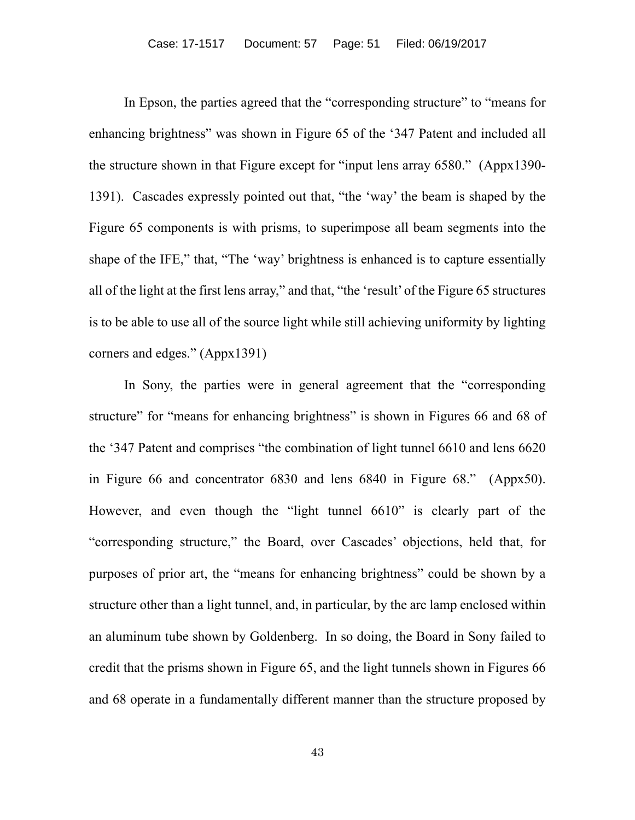In Epson, the parties agreed that the "corresponding structure" to "means for enhancing brightness" was shown in Figure 65 of the '347 Patent and included all the structure shown in that Figure except for "input lens array 6580." (Appx1390- 1391). Cascades expressly pointed out that, "the 'way' the beam is shaped by the Figure 65 components is with prisms, to superimpose all beam segments into the shape of the IFE," that, "The 'way' brightness is enhanced is to capture essentially all of the light at the first lens array," and that, "the 'result' of the Figure 65 structures is to be able to use all of the source light while still achieving uniformity by lighting corners and edges." (Appx1391)

In Sony, the parties were in general agreement that the "corresponding structure" for "means for enhancing brightness" is shown in Figures 66 and 68 of the '347 Patent and comprises "the combination of light tunnel 6610 and lens 6620 in Figure 66 and concentrator 6830 and lens 6840 in Figure 68." (Appx50). However, and even though the "light tunnel 6610" is clearly part of the "corresponding structure," the Board, over Cascades' objections, held that, for purposes of prior art, the "means for enhancing brightness" could be shown by a structure other than a light tunnel, and, in particular, by the arc lamp enclosed within an aluminum tube shown by Goldenberg. In so doing, the Board in Sony failed to credit that the prisms shown in Figure 65, and the light tunnels shown in Figures 66 and 68 operate in a fundamentally different manner than the structure proposed by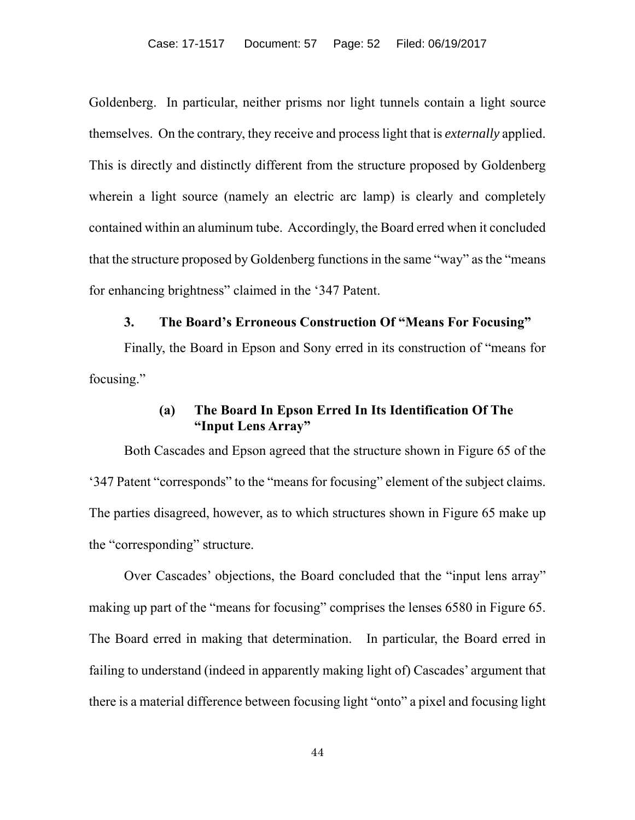Goldenberg. In particular, neither prisms nor light tunnels contain a light source themselves. On the contrary, they receive and process light that is *externally* applied. This is directly and distinctly different from the structure proposed by Goldenberg wherein a light source (namely an electric arc lamp) is clearly and completely contained within an aluminum tube. Accordingly, the Board erred when it concluded that the structure proposed by Goldenberg functions in the same "way" as the "means for enhancing brightness" claimed in the '347 Patent.

#### **3. The Board's Erroneous Construction Of "Means For Focusing"**

Finally, the Board in Epson and Sony erred in its construction of "means for focusing."

# **(a) The Board In Epson Erred In Its Identification Of The "Input Lens Array"**

Both Cascades and Epson agreed that the structure shown in Figure 65 of the '347 Patent "corresponds" to the "means for focusing" element of the subject claims. The parties disagreed, however, as to which structures shown in Figure 65 make up the "corresponding" structure.

Over Cascades' objections, the Board concluded that the "input lens array" making up part of the "means for focusing" comprises the lenses 6580 in Figure 65. The Board erred in making that determination. In particular, the Board erred in failing to understand (indeed in apparently making light of) Cascades' argument that there is a material difference between focusing light "onto" a pixel and focusing light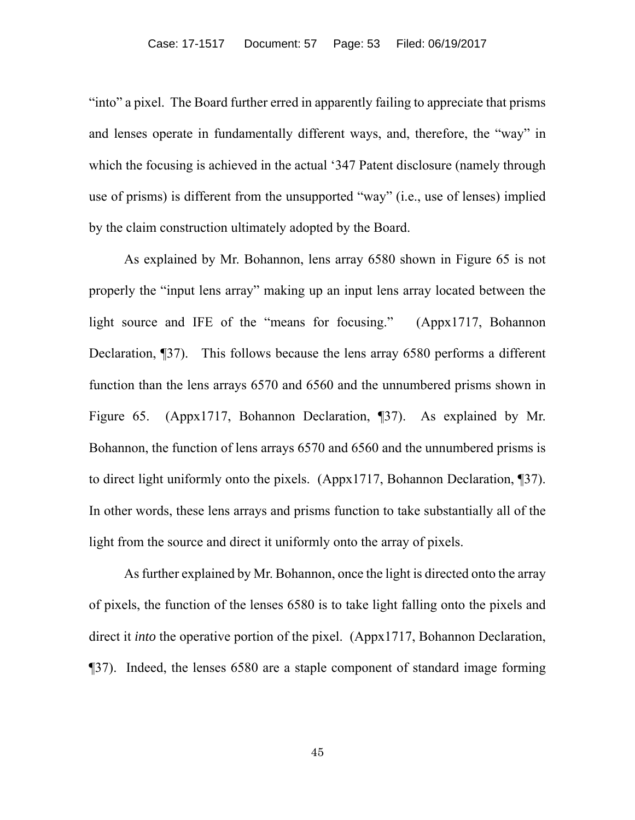"into" a pixel. The Board further erred in apparently failing to appreciate that prisms and lenses operate in fundamentally different ways, and, therefore, the "way" in which the focusing is achieved in the actual '347 Patent disclosure (namely through use of prisms) is different from the unsupported "way" (i.e., use of lenses) implied by the claim construction ultimately adopted by the Board.

As explained by Mr. Bohannon, lens array 6580 shown in Figure 65 is not properly the "input lens array" making up an input lens array located between the light source and IFE of the "means for focusing." (Appx1717, Bohannon Declaration, ¶37). This follows because the lens array 6580 performs a different function than the lens arrays 6570 and 6560 and the unnumbered prisms shown in Figure 65. (Appx1717, Bohannon Declaration, ¶37). As explained by Mr. Bohannon, the function of lens arrays 6570 and 6560 and the unnumbered prisms is to direct light uniformly onto the pixels. (Appx1717, Bohannon Declaration, ¶37). In other words, these lens arrays and prisms function to take substantially all of the light from the source and direct it uniformly onto the array of pixels.

As further explained by Mr. Bohannon, once the light is directed onto the array of pixels, the function of the lenses 6580 is to take light falling onto the pixels and direct it *into* the operative portion of the pixel. (Appx1717, Bohannon Declaration, ¶37). Indeed, the lenses 6580 are a staple component of standard image forming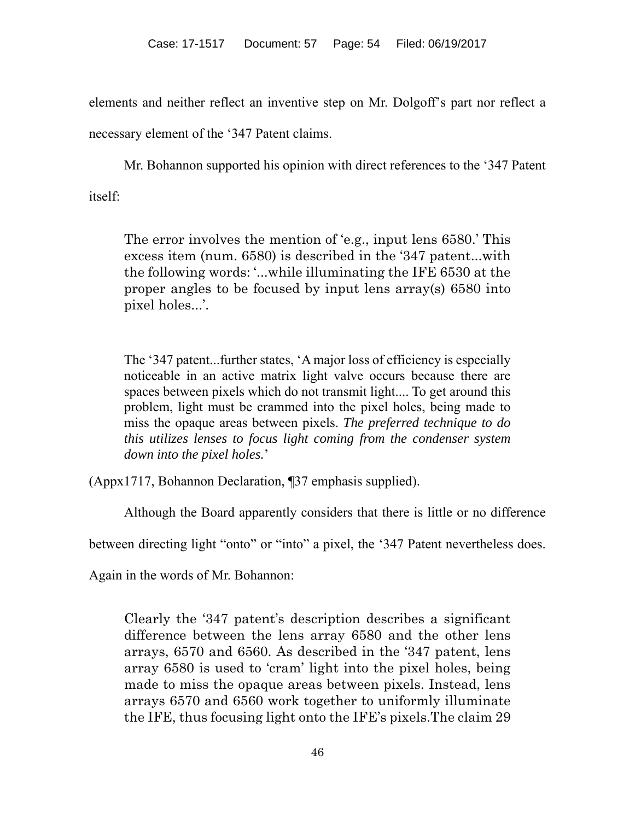elements and neither reflect an inventive step on Mr. Dolgoff's part nor reflect a

necessary element of the '347 Patent claims.

Mr. Bohannon supported his opinion with direct references to the '347 Patent

itself:

The error involves the mention of 'e.g., input lens 6580.' This excess item (num. 6580) is described in the '347 patent...with the following words: '...while illuminating the IFE 6530 at the proper angles to be focused by input lens array(s) 6580 into pixel holes...'.

The '347 patent...further states, 'A major loss of efficiency is especially noticeable in an active matrix light valve occurs because there are spaces between pixels which do not transmit light.... To get around this problem, light must be crammed into the pixel holes, being made to miss the opaque areas between pixels. *The preferred technique to do this utilizes lenses to focus light coming from the condenser system down into the pixel holes.*'

(Appx1717, Bohannon Declaration, ¶37 emphasis supplied).

Although the Board apparently considers that there is little or no difference

between directing light "onto" or "into" a pixel, the '347 Patent nevertheless does.

Again in the words of Mr. Bohannon:

Clearly the '347 patent's description describes a significant difference between the lens array 6580 and the other lens arrays, 6570 and 6560. As described in the '347 patent, lens array 6580 is used to 'cram' light into the pixel holes, being made to miss the opaque areas between pixels. Instead, lens arrays 6570 and 6560 work together to uniformly illuminate the IFE, thus focusing light onto the IFE's pixels.The claim 29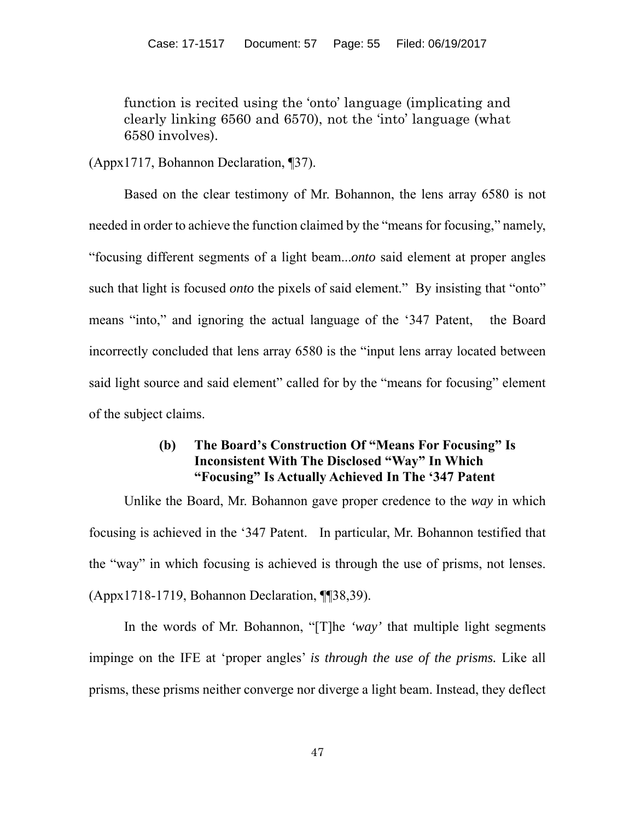function is recited using the 'onto' language (implicating and clearly linking 6560 and 6570), not the 'into' language (what 6580 involves).

(Appx1717, Bohannon Declaration, ¶37).

Based on the clear testimony of Mr. Bohannon, the lens array 6580 is not needed in order to achieve the function claimed by the "means for focusing," namely, "focusing different segments of a light beam...*onto* said element at proper angles such that light is focused *onto* the pixels of said element." By insisting that "onto" means "into," and ignoring the actual language of the '347 Patent, the Board incorrectly concluded that lens array 6580 is the "input lens array located between said light source and said element" called for by the "means for focusing" element of the subject claims.

# **(b) The Board's Construction Of "Means For Focusing" Is Inconsistent With The Disclosed "Way" In Which "Focusing" Is Actually Achieved In The '347 Patent**

Unlike the Board, Mr. Bohannon gave proper credence to the *way* in which focusing is achieved in the '347 Patent. In particular, Mr. Bohannon testified that the "way" in which focusing is achieved is through the use of prisms, not lenses. (Appx1718-1719, Bohannon Declaration, ¶¶38,39).

In the words of Mr. Bohannon, "[T]he *'way'* that multiple light segments impinge on the IFE at 'proper angles' *is through the use of the prisms.* Like all prisms, these prisms neither converge nor diverge a light beam. Instead, they deflect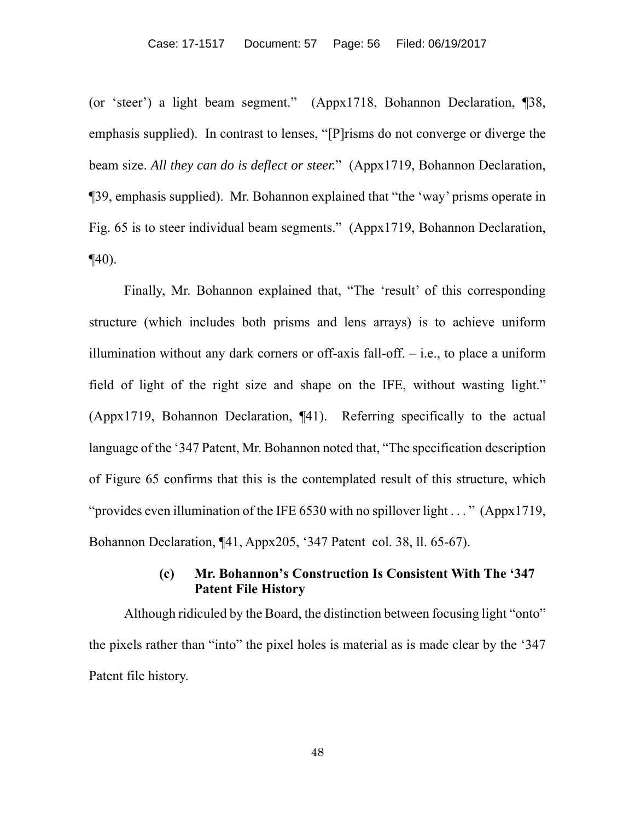(or 'steer') a light beam segment." (Appx1718, Bohannon Declaration, ¶38, emphasis supplied). In contrast to lenses, "[P]risms do not converge or diverge the beam size. *All they can do is deflect or steer.*" (Appx1719, Bohannon Declaration, ¶39, emphasis supplied). Mr. Bohannon explained that "the 'way' prisms operate in Fig. 65 is to steer individual beam segments." (Appx1719, Bohannon Declaration,  $\P(40)$ .

Finally, Mr. Bohannon explained that, "The 'result' of this corresponding structure (which includes both prisms and lens arrays) is to achieve uniform illumination without any dark corners or off-axis fall-off.  $-$  i.e., to place a uniform field of light of the right size and shape on the IFE, without wasting light." (Appx1719, Bohannon Declaration, ¶41). Referring specifically to the actual language of the '347 Patent, Mr. Bohannon noted that, "The specification description of Figure 65 confirms that this is the contemplated result of this structure, which "provides even illumination of the IFE 6530 with no spillover light . . . " (Appx1719, Bohannon Declaration, ¶41, Appx205, '347 Patent col. 38, ll. 65-67).

# **(c) Mr. Bohannon's Construction Is Consistent With The '347 Patent File History**

Although ridiculed by the Board, the distinction between focusing light "onto" the pixels rather than "into" the pixel holes is material as is made clear by the '347 Patent file history.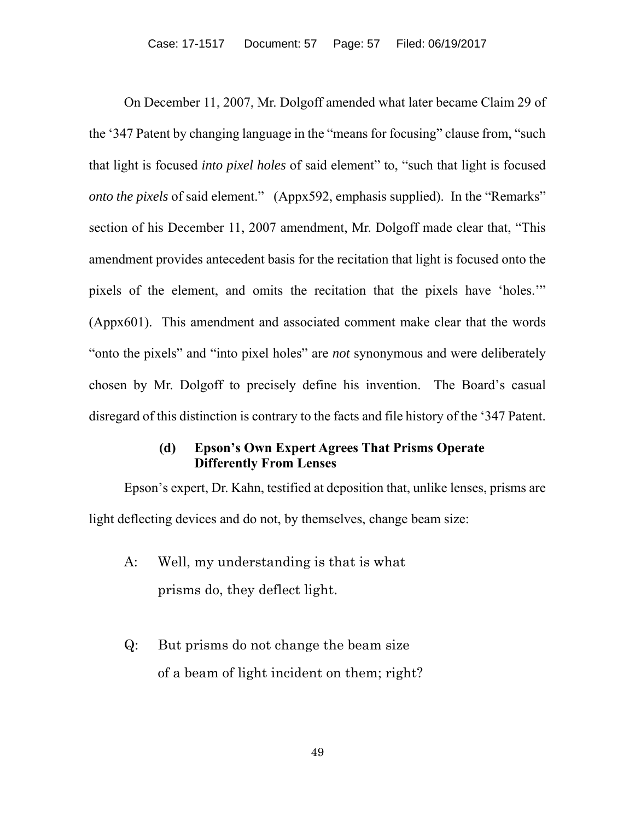On December 11, 2007, Mr. Dolgoff amended what later became Claim 29 of the '347 Patent by changing language in the "means for focusing" clause from, "such that light is focused *into pixel holes* of said element" to, "such that light is focused *onto the pixels* of said element." (Appx592, emphasis supplied). In the "Remarks" section of his December 11, 2007 amendment, Mr. Dolgoff made clear that, "This amendment provides antecedent basis for the recitation that light is focused onto the pixels of the element, and omits the recitation that the pixels have 'holes.'" (Appx601). This amendment and associated comment make clear that the words "onto the pixels" and "into pixel holes" are *not* synonymous and were deliberately chosen by Mr. Dolgoff to precisely define his invention. The Board's casual disregard of this distinction is contrary to the facts and file history of the '347 Patent.

# **(d) Epson's Own Expert Agrees That Prisms Operate Differently From Lenses**

Epson's expert, Dr. Kahn, testified at deposition that, unlike lenses, prisms are light deflecting devices and do not, by themselves, change beam size:

- A: Well, my understanding is that is what prisms do, they deflect light.
- Q: But prisms do not change the beam size of a beam of light incident on them; right?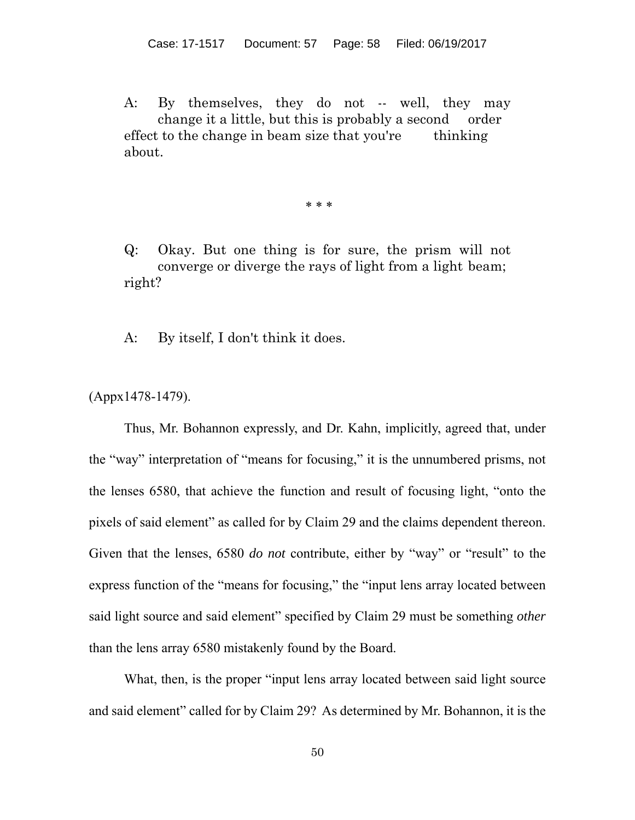A: By themselves, they do not -- well, they may change it a little, but this is probably a second order effect to the change in beam size that you're thinking about.

\* \* \*

Q: Okay. But one thing is for sure, the prism will not converge or diverge the rays of light from a light beam; right?

A: By itself, I don't think it does.

(Appx1478-1479).

Thus, Mr. Bohannon expressly, and Dr. Kahn, implicitly, agreed that, under the "way" interpretation of "means for focusing," it is the unnumbered prisms, not the lenses 6580, that achieve the function and result of focusing light, "onto the pixels of said element" as called for by Claim 29 and the claims dependent thereon. Given that the lenses, 6580 *do not* contribute, either by "way" or "result" to the express function of the "means for focusing," the "input lens array located between said light source and said element" specified by Claim 29 must be something *other*  than the lens array 6580 mistakenly found by the Board.

What, then, is the proper "input lens array located between said light source and said element" called for by Claim 29? As determined by Mr. Bohannon, it is the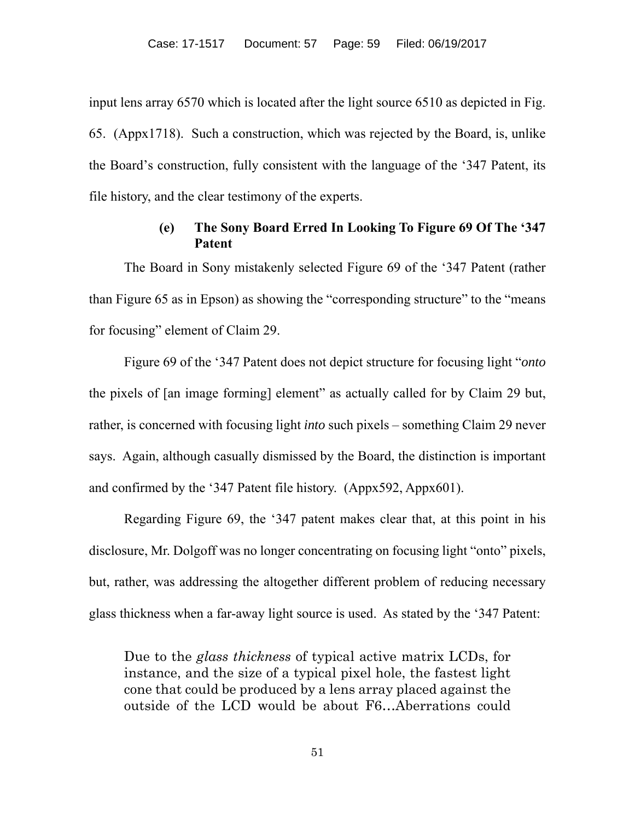input lens array 6570 which is located after the light source 6510 as depicted in Fig. 65. (Appx1718). Such a construction, which was rejected by the Board, is, unlike the Board's construction, fully consistent with the language of the '347 Patent, its file history, and the clear testimony of the experts.

# **(e) The Sony Board Erred In Looking To Figure 69 Of The '347 Patent**

The Board in Sony mistakenly selected Figure 69 of the '347 Patent (rather than Figure 65 as in Epson) as showing the "corresponding structure" to the "means for focusing" element of Claim 29.

Figure 69 of the '347 Patent does not depict structure for focusing light "*onto* the pixels of [an image forming] element" as actually called for by Claim 29 but, rather, is concerned with focusing light *into* such pixels – something Claim 29 never says. Again, although casually dismissed by the Board, the distinction is important and confirmed by the '347 Patent file history. (Appx592, Appx601).

Regarding Figure 69, the '347 patent makes clear that, at this point in his disclosure, Mr. Dolgoff was no longer concentrating on focusing light "onto" pixels, but, rather, was addressing the altogether different problem of reducing necessary glass thickness when a far-away light source is used. As stated by the '347 Patent:

Due to the *glass thickness* of typical active matrix LCDs, for instance, and the size of a typical pixel hole, the fastest light cone that could be produced by a lens array placed against the outside of the LCD would be about F6…Aberrations could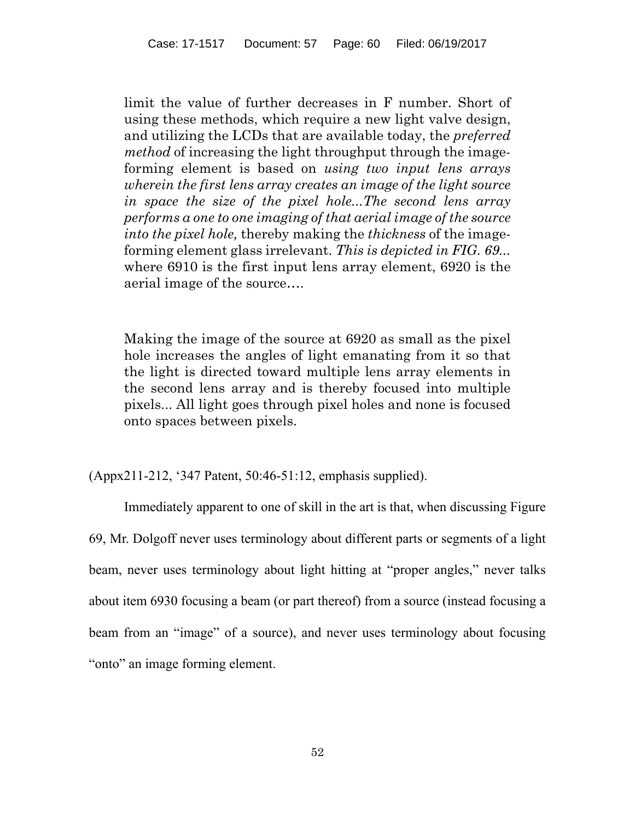limit the value of further decreases in F number. Short of using these methods, which require a new light valve design, and utilizing the LCDs that are available today, the *preferred method* of increasing the light throughput through the imageforming element is based on *using two input lens arrays wherein the first lens array creates an image of the light source in space the size of the pixel hole...The second lens array performs a one to one imaging of that aerial image of the source into the pixel hole,* thereby making the *thickness* of the imageforming element glass irrelevant. *This is depicted in FIG. 69...* where 6910 is the first input lens array element, 6920 is the aerial image of the source….

Making the image of the source at 6920 as small as the pixel hole increases the angles of light emanating from it so that the light is directed toward multiple lens array elements in the second lens array and is thereby focused into multiple pixels... All light goes through pixel holes and none is focused onto spaces between pixels.

(Appx211-212, '347 Patent, 50:46-51:12, emphasis supplied).

Immediately apparent to one of skill in the art is that, when discussing Figure 69, Mr. Dolgoff never uses terminology about different parts or segments of a light beam, never uses terminology about light hitting at "proper angles," never talks about item 6930 focusing a beam (or part thereof) from a source (instead focusing a beam from an "image" of a source), and never uses terminology about focusing "onto" an image forming element.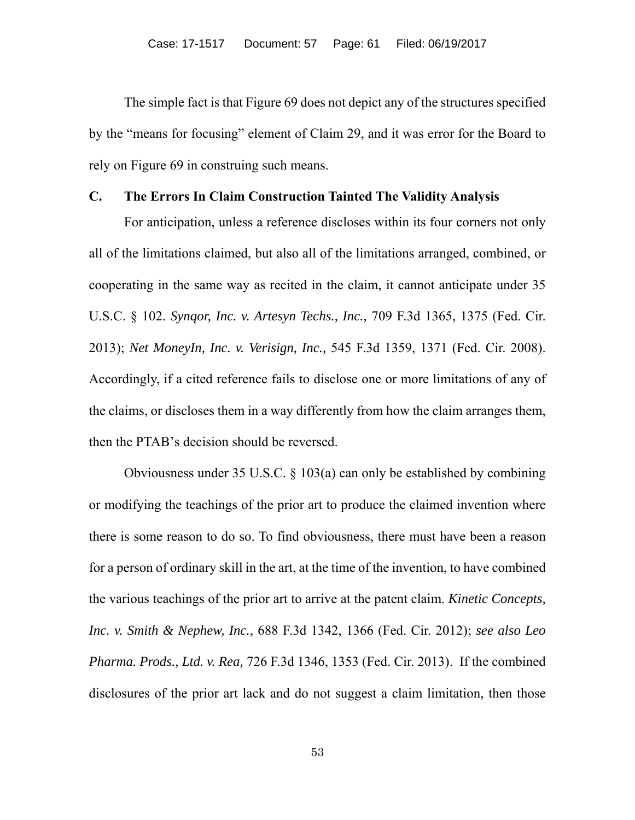The simple fact is that Figure 69 does not depict any of the structures specified by the "means for focusing" element of Claim 29, and it was error for the Board to rely on Figure 69 in construing such means.

#### **C. The Errors In Claim Construction Tainted The Validity Analysis**

For anticipation, unless a reference discloses within its four corners not only all of the limitations claimed, but also all of the limitations arranged, combined, or cooperating in the same way as recited in the claim, it cannot anticipate under 35 U.S.C. § 102. *Synqor, Inc. v. Artesyn Techs., Inc.,* 709 F.3d 1365, 1375 (Fed. Cir. 2013); *Net MoneyIn, Inc. v. Verisign, Inc.,* 545 F.3d 1359, 1371 (Fed. Cir. 2008). Accordingly, if a cited reference fails to disclose one or more limitations of any of the claims, or discloses them in a way differently from how the claim arranges them, then the PTAB's decision should be reversed.

Obviousness under 35 U.S.C. § 103(a) can only be established by combining or modifying the teachings of the prior art to produce the claimed invention where there is some reason to do so. To find obviousness, there must have been a reason for a person of ordinary skill in the art, at the time of the invention, to have combined the various teachings of the prior art to arrive at the patent claim. *Kinetic Concepts, Inc. v. Smith & Nephew, Inc.*, 688 F.3d 1342, 1366 (Fed. Cir. 2012); *see also Leo Pharma. Prods., Ltd. v. Rea,* 726 F.3d 1346, 1353 (Fed. Cir. 2013). If the combined disclosures of the prior art lack and do not suggest a claim limitation, then those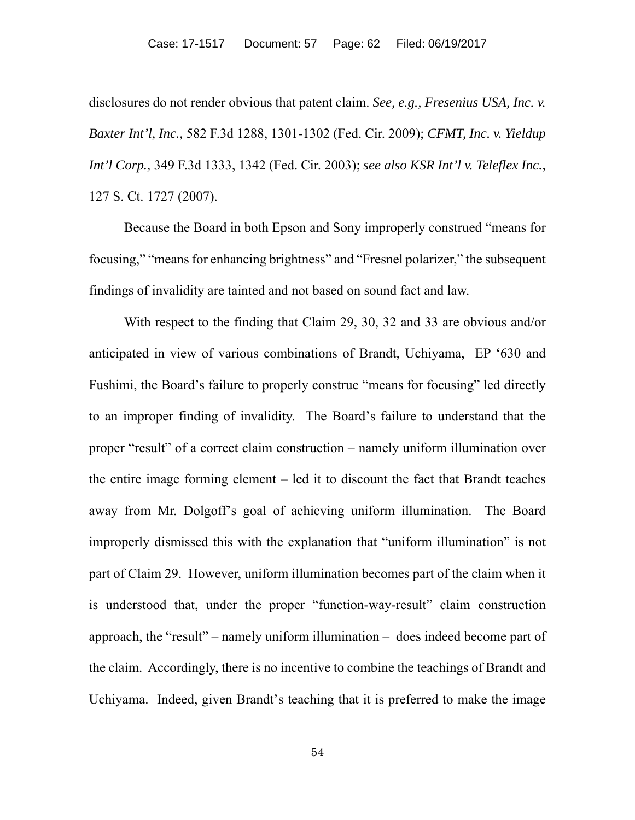disclosures do not render obvious that patent claim. *See, e.g., Fresenius USA, Inc. v. Baxter Int'l, Inc.,* 582 F.3d 1288, 1301-1302 (Fed. Cir. 2009); *CFMT, Inc. v. Yieldup Int'l Corp.,* 349 F.3d 1333, 1342 (Fed. Cir. 2003); *see also KSR Int'l v. Teleflex Inc.,*  127 S. Ct. 1727 (2007).

Because the Board in both Epson and Sony improperly construed "means for focusing," "means for enhancing brightness" and "Fresnel polarizer," the subsequent findings of invalidity are tainted and not based on sound fact and law.

With respect to the finding that Claim 29, 30, 32 and 33 are obvious and/or anticipated in view of various combinations of Brandt, Uchiyama, EP '630 and Fushimi, the Board's failure to properly construe "means for focusing" led directly to an improper finding of invalidity. The Board's failure to understand that the proper "result" of a correct claim construction – namely uniform illumination over the entire image forming element – led it to discount the fact that Brandt teaches away from Mr. Dolgoff's goal of achieving uniform illumination. The Board improperly dismissed this with the explanation that "uniform illumination" is not part of Claim 29. However, uniform illumination becomes part of the claim when it is understood that, under the proper "function-way-result" claim construction approach, the "result" – namely uniform illumination – does indeed become part of the claim. Accordingly, there is no incentive to combine the teachings of Brandt and Uchiyama. Indeed, given Brandt's teaching that it is preferred to make the image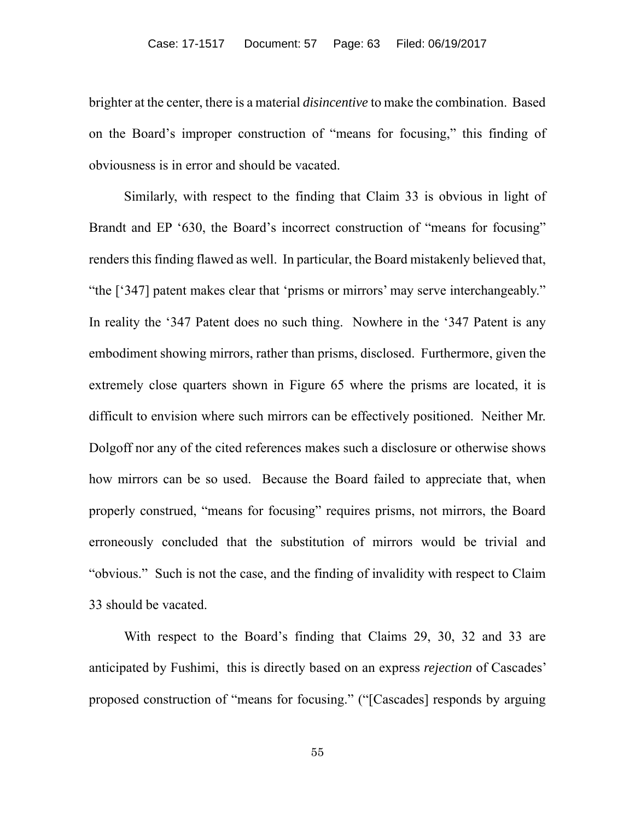brighter at the center, there is a material *disincentive* to make the combination. Based on the Board's improper construction of "means for focusing," this finding of obviousness is in error and should be vacated.

Similarly, with respect to the finding that Claim 33 is obvious in light of Brandt and EP '630, the Board's incorrect construction of "means for focusing" renders this finding flawed as well. In particular, the Board mistakenly believed that, "the ['347] patent makes clear that 'prisms or mirrors' may serve interchangeably." In reality the '347 Patent does no such thing. Nowhere in the '347 Patent is any embodiment showing mirrors, rather than prisms, disclosed. Furthermore, given the extremely close quarters shown in Figure 65 where the prisms are located, it is difficult to envision where such mirrors can be effectively positioned. Neither Mr. Dolgoff nor any of the cited references makes such a disclosure or otherwise shows how mirrors can be so used. Because the Board failed to appreciate that, when properly construed, "means for focusing" requires prisms, not mirrors, the Board erroneously concluded that the substitution of mirrors would be trivial and "obvious." Such is not the case, and the finding of invalidity with respect to Claim 33 should be vacated.

With respect to the Board's finding that Claims 29, 30, 32 and 33 are anticipated by Fushimi, this is directly based on an express *rejection* of Cascades' proposed construction of "means for focusing." ("[Cascades] responds by arguing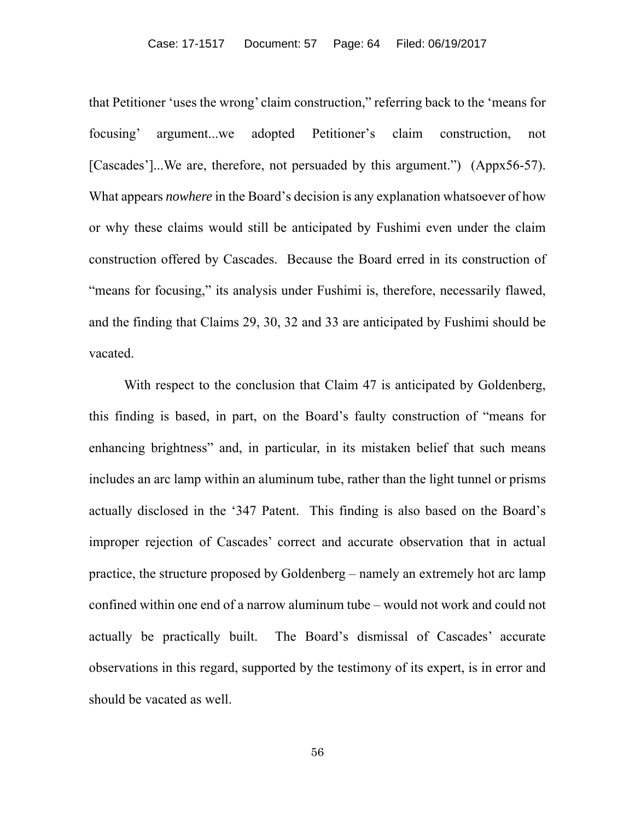that Petitioner 'uses the wrong' claim construction," referring back to the 'means for focusing' argument...we adopted Petitioner's claim construction, not [Cascades']...We are, therefore, not persuaded by this argument.") (Appx56-57). What appears *nowhere* in the Board's decision is any explanation whatsoever of how or why these claims would still be anticipated by Fushimi even under the claim construction offered by Cascades. Because the Board erred in its construction of "means for focusing," its analysis under Fushimi is, therefore, necessarily flawed, and the finding that Claims 29, 30, 32 and 33 are anticipated by Fushimi should be vacated.

With respect to the conclusion that Claim 47 is anticipated by Goldenberg, this finding is based, in part, on the Board's faulty construction of "means for enhancing brightness" and, in particular, in its mistaken belief that such means includes an arc lamp within an aluminum tube, rather than the light tunnel or prisms actually disclosed in the '347 Patent. This finding is also based on the Board's improper rejection of Cascades' correct and accurate observation that in actual practice, the structure proposed by Goldenberg – namely an extremely hot arc lamp confined within one end of a narrow aluminum tube – would not work and could not actually be practically built. The Board's dismissal of Cascades' accurate observations in this regard, supported by the testimony of its expert, is in error and should be vacated as well.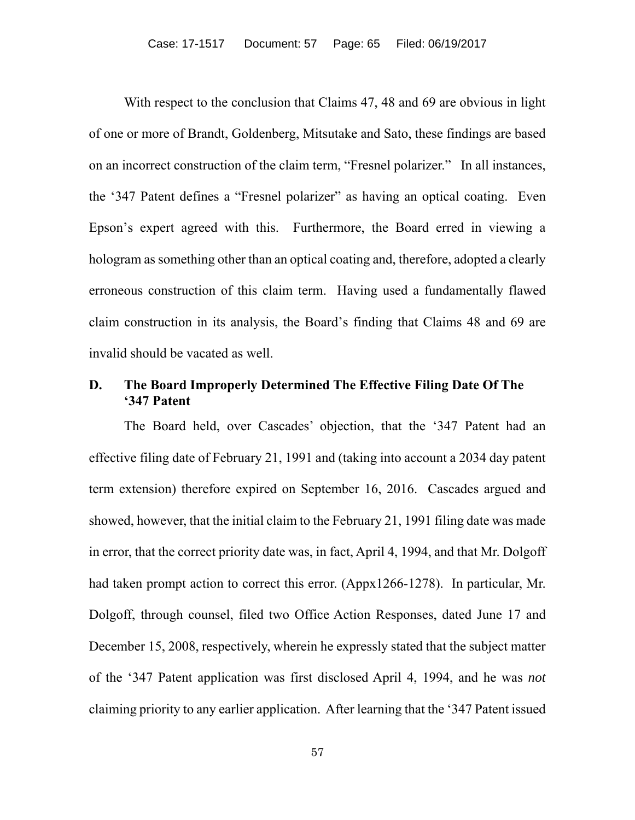With respect to the conclusion that Claims 47, 48 and 69 are obvious in light of one or more of Brandt, Goldenberg, Mitsutake and Sato, these findings are based on an incorrect construction of the claim term, "Fresnel polarizer." In all instances, the '347 Patent defines a "Fresnel polarizer" as having an optical coating. Even Epson's expert agreed with this. Furthermore, the Board erred in viewing a hologram as something other than an optical coating and, therefore, adopted a clearly erroneous construction of this claim term. Having used a fundamentally flawed claim construction in its analysis, the Board's finding that Claims 48 and 69 are invalid should be vacated as well.

# **D. The Board Improperly Determined The Effective Filing Date Of The '347 Patent**

The Board held, over Cascades' objection, that the '347 Patent had an effective filing date of February 21, 1991 and (taking into account a 2034 day patent term extension) therefore expired on September 16, 2016. Cascades argued and showed, however, that the initial claim to the February 21, 1991 filing date was made in error, that the correct priority date was, in fact, April 4, 1994, and that Mr. Dolgoff had taken prompt action to correct this error. (Appx1266-1278). In particular, Mr. Dolgoff, through counsel, filed two Office Action Responses, dated June 17 and December 15, 2008, respectively, wherein he expressly stated that the subject matter of the '347 Patent application was first disclosed April 4, 1994, and he was *not* claiming priority to any earlier application. After learning that the '347 Patent issued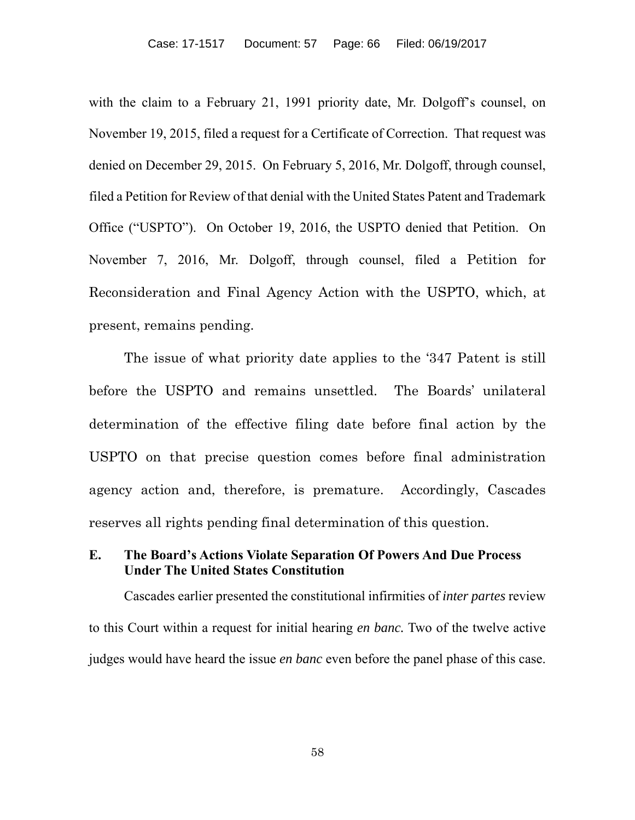with the claim to a February 21, 1991 priority date, Mr. Dolgoff's counsel, on November 19, 2015, filed a request for a Certificate of Correction. That request was denied on December 29, 2015. On February 5, 2016, Mr. Dolgoff, through counsel, filed a Petition for Review of that denial with the United States Patent and Trademark Office ("USPTO"). On October 19, 2016, the USPTO denied that Petition. On November 7, 2016, Mr. Dolgoff, through counsel, filed a Petition for Reconsideration and Final Agency Action with the USPTO, which, at present, remains pending.

The issue of what priority date applies to the '347 Patent is still before the USPTO and remains unsettled. The Boards' unilateral determination of the effective filing date before final action by the USPTO on that precise question comes before final administration agency action and, therefore, is premature. Accordingly, Cascades reserves all rights pending final determination of this question.

# **E. The Board's Actions Violate Separation Of Powers And Due Process Under The United States Constitution**

Cascades earlier presented the constitutional infirmities of *inter partes* review to this Court within a request for initial hearing *en banc.* Two of the twelve active judges would have heard the issue *en banc* even before the panel phase of this case.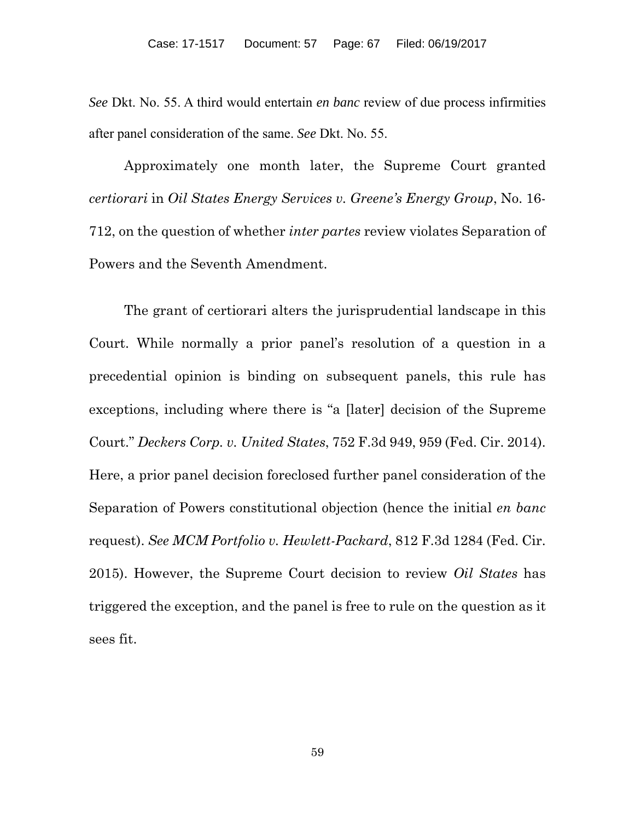*See* Dkt. No. 55. A third would entertain *en banc* review of due process infirmities after panel consideration of the same. *See* Dkt. No. 55.

Approximately one month later, the Supreme Court granted *certiorari* in *Oil States Energy Services v. Greene's Energy Group*, No. 16- 712, on the question of whether *inter partes* review violates Separation of Powers and the Seventh Amendment.

The grant of certiorari alters the jurisprudential landscape in this Court. While normally a prior panel's resolution of a question in a precedential opinion is binding on subsequent panels, this rule has exceptions, including where there is "a [later] decision of the Supreme Court." *Deckers Corp. v. United States*, 752 F.3d 949, 959 (Fed. Cir. 2014). Here, a prior panel decision foreclosed further panel consideration of the Separation of Powers constitutional objection (hence the initial *en banc*  request). *See MCM Portfolio v. Hewlett-Packard*, 812 F.3d 1284 (Fed. Cir. 2015). However, the Supreme Court decision to review *Oil States* has triggered the exception, and the panel is free to rule on the question as it sees fit.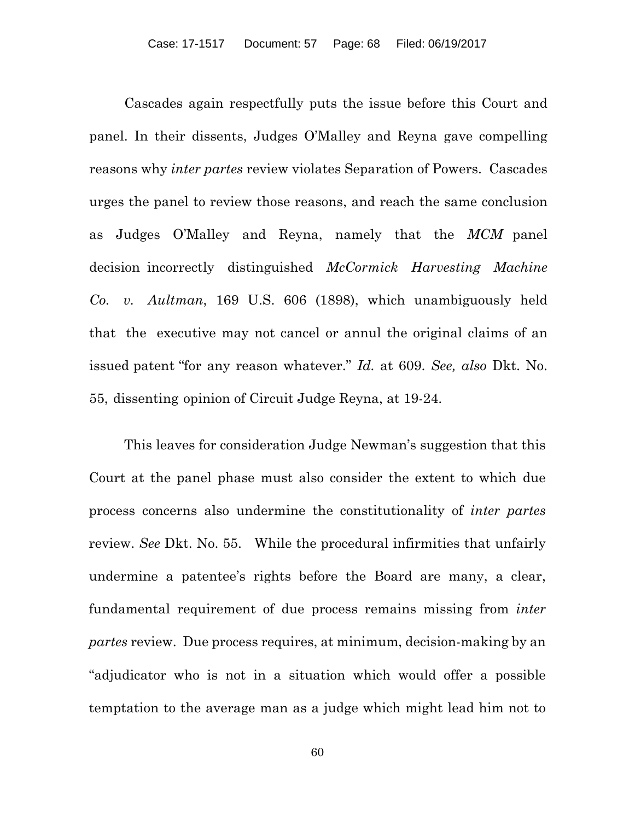Cascades again respectfully puts the issue before this Court and panel. In their dissents, Judges O'Malley and Reyna gave compelling reasons why *inter partes* review violates Separation of Powers. Cascades urges the panel to review those reasons, and reach the same conclusion as Judges O'Malley and Reyna, namely that the *MCM* panel decision incorrectly distinguished *McCormick Harvesting Machine Co. v. Aultman*, 169 U.S. 606 (1898), which unambiguously held that the executive may not cancel or annul the original claims of an issued patent "for any reason whatever." *Id.* at 609. *See, also* Dkt. No. 55, dissenting opinion of Circuit Judge Reyna, at 19-24.

This leaves for consideration Judge Newman's suggestion that this Court at the panel phase must also consider the extent to which due process concerns also undermine the constitutionality of *inter partes*  review. *See* Dkt. No. 55. While the procedural infirmities that unfairly undermine a patentee's rights before the Board are many, a clear, fundamental requirement of due process remains missing from *inter partes* review. Due process requires, at minimum, decision-making by an "adjudicator who is not in a situation which would offer a possible temptation to the average man as a judge which might lead him not to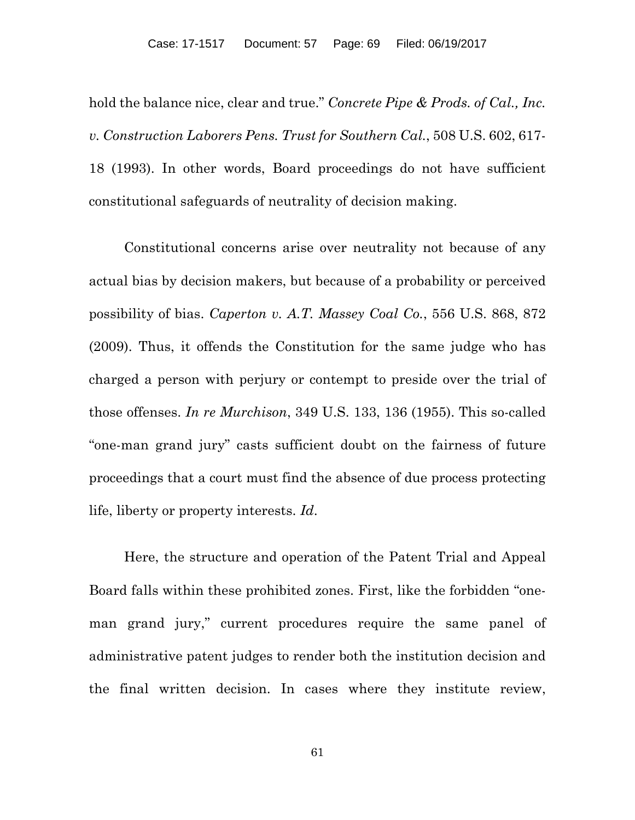hold the balance nice, clear and true." *Concrete Pipe & Prods. of Cal., Inc. v. Construction Laborers Pens. Trust for Southern Cal.*, 508 U.S. 602, 617- 18 (1993). In other words, Board proceedings do not have sufficient constitutional safeguards of neutrality of decision making.

Constitutional concerns arise over neutrality not because of any actual bias by decision makers, but because of a probability or perceived possibility of bias. *Caperton v. A.T. Massey Coal Co.*, 556 U.S. 868, 872 (2009). Thus, it offends the Constitution for the same judge who has charged a person with perjury or contempt to preside over the trial of those offenses. *In re Murchison*, 349 U.S. 133, 136 (1955). This so-called "one-man grand jury" casts sufficient doubt on the fairness of future proceedings that a court must find the absence of due process protecting life, liberty or property interests. *Id*.

Here, the structure and operation of the Patent Trial and Appeal Board falls within these prohibited zones. First, like the forbidden "oneman grand jury," current procedures require the same panel of administrative patent judges to render both the institution decision and the final written decision. In cases where they institute review,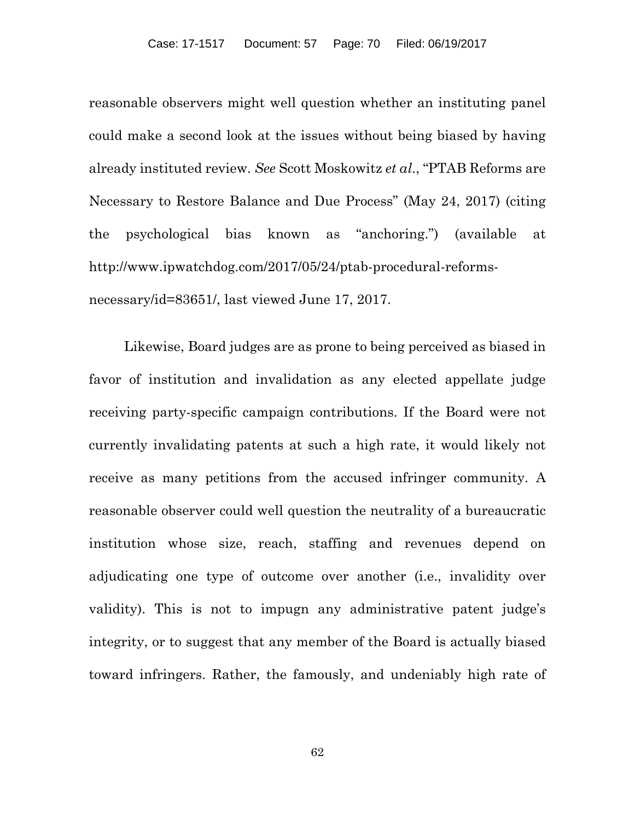reasonable observers might well question whether an instituting panel could make a second look at the issues without being biased by having already instituted review. *See* Scott Moskowitz *et al*., "PTAB Reforms are Necessary to Restore Balance and Due Process" (May 24, 2017) (citing the psychological bias known as "anchoring.") (available at http://www.ipwatchdog.com/2017/05/24/ptab-procedural-reformsnecessary/id=83651/, last viewed June 17, 2017.

Likewise, Board judges are as prone to being perceived as biased in favor of institution and invalidation as any elected appellate judge receiving party-specific campaign contributions. If the Board were not currently invalidating patents at such a high rate, it would likely not receive as many petitions from the accused infringer community. A reasonable observer could well question the neutrality of a bureaucratic institution whose size, reach, staffing and revenues depend on adjudicating one type of outcome over another (i.e., invalidity over validity). This is not to impugn any administrative patent judge's integrity, or to suggest that any member of the Board is actually biased toward infringers. Rather, the famously, and undeniably high rate of